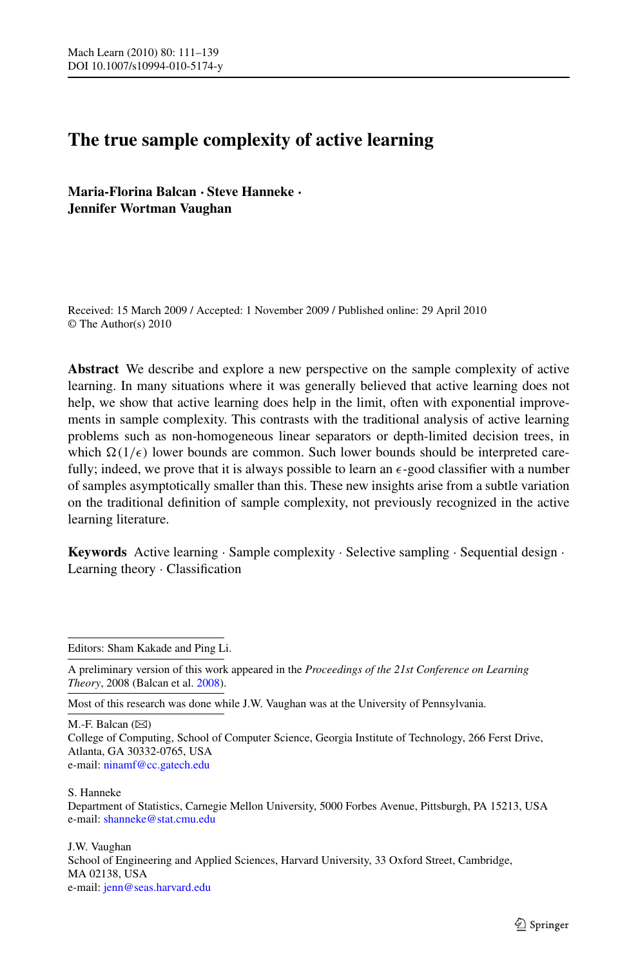# **The true sample complexity of active learning**

**Maria-Florina Balcan** · **Steve Hanneke** · **Jennifer Wortman Vaughan**

Received: 15 March 2009 / Accepted: 1 November 2009 / Published online: 29 April 2010 © The Author(s) 2010

**Abstract** We describe and explore a new perspective on the sample complexity of active learning. In many situations where it was generally believed that active learning does not help, we show that active learning does help in the limit, often with exponential improvements in sample complexity. This contrasts with the traditional analysis of active learning problems such as non-homogeneous linear separators or depth-limited decision trees, in which  $\Omega(1/\epsilon)$  lower bounds are common. Such lower bounds should be interpreted carefully; indeed, we prove that it is always possible to learn an  $\epsilon$ -good classifier with a number of samples asymptotically smaller than this. These new insights arise from a subtle variation on the traditional definition of sample complexity, not previously recognized in the active learning literature.

**Keywords** Active learning · Sample complexity · Selective sampling · Sequential design · Learning theory · Classification

Editors: Sham Kakade and Ping Li.

 $M.-F.$  Balcan ( $\boxtimes$ )

College of Computing, School of Computer Science, Georgia Institute of Technology, 266 Ferst Drive, Atlanta, GA 30332-0765, USA

e-mail: ninamf@cc.gatech.edu

S. Hanneke

Department of Statistics, Carnegie Mellon University, 5000 Forbes Avenue, Pittsburgh, PA 15213, USA e-mail: shanneke@stat.cmu.edu

J.W. Vaughan School of Engineering and Applied Sciences, Harvard University, 33 Oxford Street, Cambridge, MA 02138, USA e-mail: jenn@seas.harvard.edu

A preliminary version of this work appeared in the *Proceedings of the 21st Conference on Learning Theory*, 2008 (Balcan et al. 2008).

Most of this research was done while J.W. Vaughan was at the University of Pennsylvania.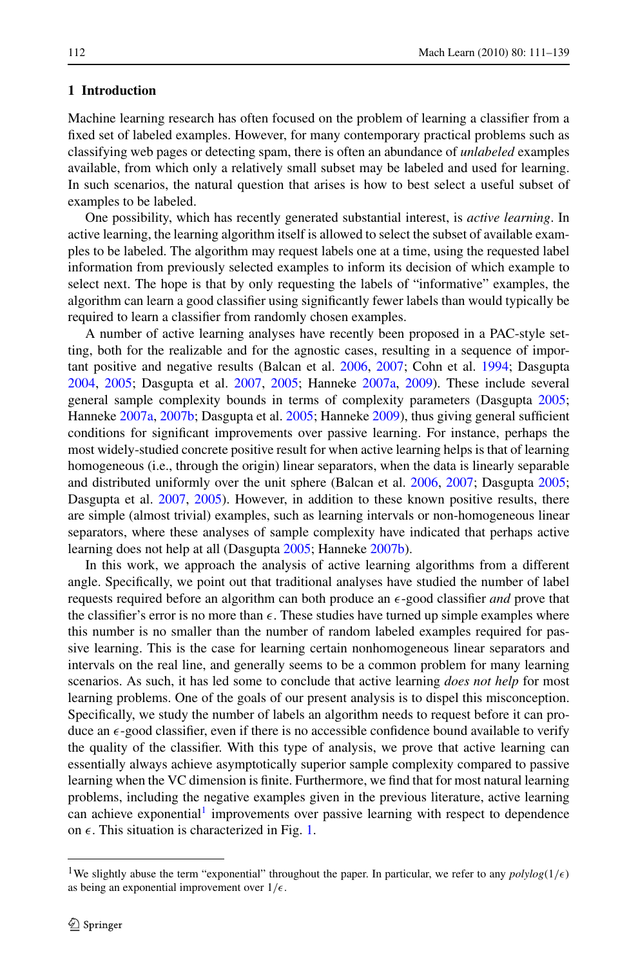# **1 Introduction**

Machine learning research has often focused on the problem of learning a classifier from a fixed set of labeled examples. However, for many contemporary practical problems such as classifying web pages or detecting spam, there is often an abundance of *unlabeled* examples available, from which only a relatively small subset may be labeled and used for learning. In such scenarios, the natural question that arises is how to best select a useful subset of examples to be labeled.

One possibility, which has recently generated substantial interest, is *active learning*. In active learning, the learning algorithm itself is allowed to select the subset of available examples to be labeled. The algorithm may request labels one at a time, using the requested label information from previously selected examples to inform its decision of which example to select next. The hope is that by only requesting the labels of "informative" examples, the algorithm can learn a good classifier using significantly fewer labels than would typically be required to learn a classifier from randomly chosen examples.

A number of active learning analyses have recently been proposed in a PAC-style setting, both for the realizable and for the agnostic cases, resulting in a sequence of important positive and negative results (Balcan et al. 2006, 2007; Cohn et al. 1994; Dasgupta 2004, 2005; Dasgupta et al. 2007, 2005; Hanneke 2007a, 2009). These include several general sample complexity bounds in terms of complexity parameters (Dasgupta 2005; Hanneke 2007a, 2007b; Dasgupta et al. 2005; Hanneke 2009), thus giving general sufficient conditions for significant improvements over passive learning. For instance, perhaps the most widely-studied concrete positive result for when active learning helps is that of learning homogeneous (i.e., through the origin) linear separators, when the data is linearly separable and distributed uniformly over the unit sphere (Balcan et al. 2006, 2007; Dasgupta 2005; Dasgupta et al. 2007, 2005). However, in addition to these known positive results, there are simple (almost trivial) examples, such as learning intervals or non-homogeneous linear separators, where these analyses of sample complexity have indicated that perhaps active learning does not help at all (Dasgupta 2005; Hanneke 2007b).

In this work, we approach the analysis of active learning algorithms from a different angle. Specifically, we point out that traditional analyses have studied the number of label requests required before an algorithm can both produce an  $\epsilon$ -good classifier *and* prove that the classifier's error is no more than  $\epsilon$ . These studies have turned up simple examples where this number is no smaller than the number of random labeled examples required for passive learning. This is the case for learning certain nonhomogeneous linear separators and intervals on the real line, and generally seems to be a common problem for many learning scenarios. As such, it has led some to conclude that active learning *does not help* for most learning problems. One of the goals of our present analysis is to dispel this misconception. Specifically, we study the number of labels an algorithm needs to request before it can produce an  $\epsilon$ -good classifier, even if there is no accessible confidence bound available to verify the quality of the classifier. With this type of analysis, we prove that active learning can essentially always achieve asymptotically superior sample complexity compared to passive learning when the VC dimension is finite. Furthermore, we find that for most natural learning problems, including the negative examples given in the previous literature, active learning can achieve exponential<sup>1</sup> improvements over passive learning with respect to dependence on  $\epsilon$ . This situation is characterized in Fig. 1.

<sup>&</sup>lt;sup>1</sup>We slightly abuse the term "exponential" throughout the paper. In particular, we refer to any  $polylog(1/\epsilon)$ as being an exponential improvement over  $1/\epsilon$ .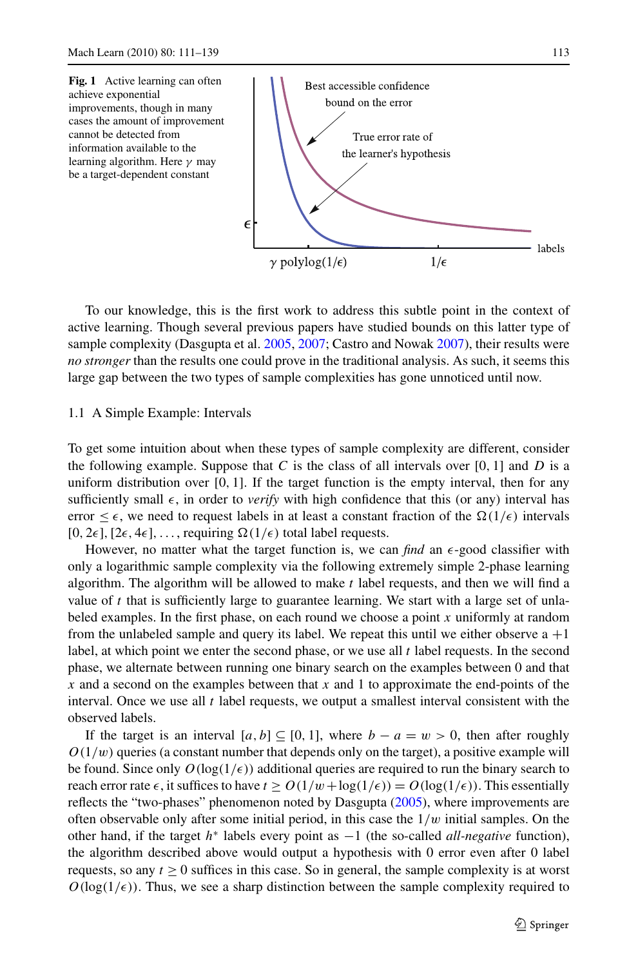

To our knowledge, this is the first work to address this subtle point in the context of active learning. Though several previous papers have studied bounds on this latter type of sample complexity (Dasgupta et al. 2005, 2007; Castro and Nowak 2007), their results were *no stronger* than the results one could prove in the traditional analysis. As such, it seems this large gap between the two types of sample complexities has gone unnoticed until now.

# 1.1 A Simple Example: Intervals

To get some intuition about when these types of sample complexity are different, consider the following example. Suppose that C is the class of all intervals over  $[0, 1]$  and D is a uniform distribution over  $[0, 1]$ . If the target function is the empty interval, then for any sufficiently small  $\epsilon$ , in order to *verify* with high confidence that this (or any) interval has error  $\leq \epsilon$ , we need to request labels in at least a constant fraction of the  $\Omega(1/\epsilon)$  intervals  $[0, 2\epsilon], [2\epsilon, 4\epsilon], \ldots$ , requiring  $\Omega(1/\epsilon)$  total label requests.

However, no matter what the target function is, we can *find* an  $\epsilon$ -good classifier with only a logarithmic sample complexity via the following extremely simple 2-phase learning algorithm. The algorithm will be allowed to make  $t$  label requests, and then we will find a value of  $t$  that is sufficiently large to guarantee learning. We start with a large set of unlabeled examples. In the first phase, on each round we choose a point  $x$  uniformly at random from the unlabeled sample and query its label. We repeat this until we either observe  $a + 1$ label, at which point we enter the second phase, or we use all  $t$  label requests. In the second phase, we alternate between running one binary search on the examples between 0 and that  $x$  and a second on the examples between that  $x$  and 1 to approximate the end-points of the interval. Once we use all t label requests, we output a smallest interval consistent with the observed labels.

If the target is an interval [a, b]  $\subseteq$  [0, 1], where  $b - a = w > 0$ , then after roughly  $O(1/w)$  queries (a constant number that depends only on the target), a positive example will be found. Since only  $O(\log(1/\epsilon))$  additional queries are required to run the binary search to reach error rate  $\epsilon$ , it suffices to have  $t \ge O(1/w + \log(1/\epsilon)) = O(\log(1/\epsilon))$ . This essentially reflects the "two-phases" phenomenon noted by Dasgupta (2005), where improvements are often observable only after some initial period, in this case the  $1/w$  initial samples. On the other hand, if the target  $h^*$  labels every point as  $-1$  (the so-called *all-negative* function), the algorithm described above would output a hypothesis with 0 error even after 0 label requests, so any  $t \ge 0$  suffices in this case. So in general, the sample complexity is at worst  $O(\log(1/\epsilon))$ . Thus, we see a sharp distinction between the sample complexity required to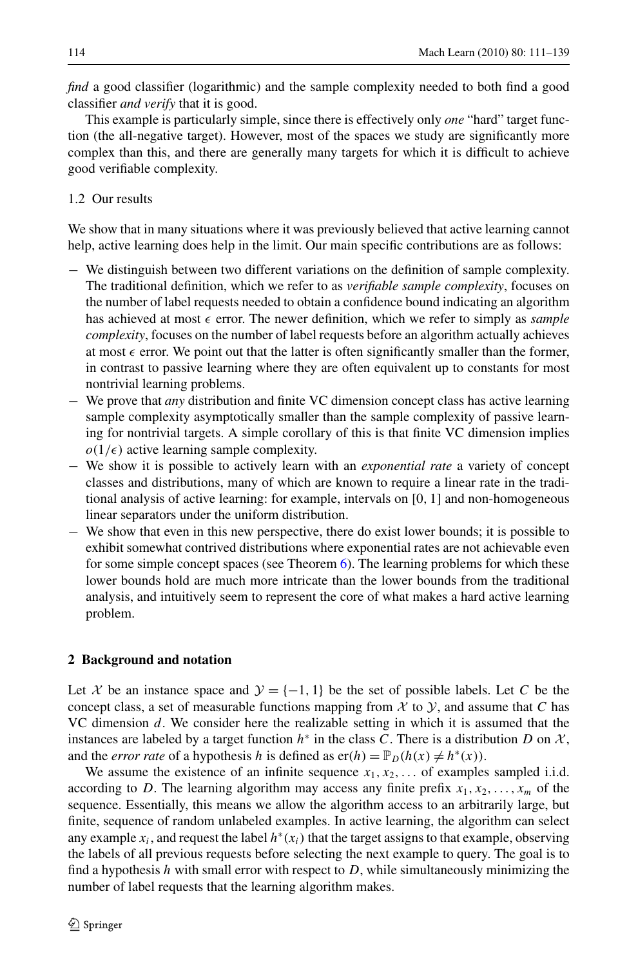*find* a good classifier (logarithmic) and the sample complexity needed to both find a good classifier *and verify* that it is good.

This example is particularly simple, since there is effectively only *one* "hard" target function (the all-negative target). However, most of the spaces we study are significantly more complex than this, and there are generally many targets for which it is difficult to achieve good verifiable complexity.

# 1.2 Our results

We show that in many situations where it was previously believed that active learning cannot help, active learning does help in the limit. Our main specific contributions are as follows:

- − We distinguish between two different variations on the definition of sample complexity. The traditional definition, which we refer to as *verifiable sample complexity*, focuses on the number of label requests needed to obtain a confidence bound indicating an algorithm has achieved at most  $\epsilon$  error. The newer definition, which we refer to simply as *sample complexity*, focuses on the number of label requests before an algorithm actually achieves at most  $\epsilon$  error. We point out that the latter is often significantly smaller than the former, in contrast to passive learning where they are often equivalent up to constants for most nontrivial learning problems.
- − We prove that *any* distribution and finite VC dimension concept class has active learning sample complexity asymptotically smaller than the sample complexity of passive learning for nontrivial targets. A simple corollary of this is that finite VC dimension implies  $o(1/\epsilon)$  active learning sample complexity.
- − We show it is possible to actively learn with an *exponential rate* a variety of concept classes and distributions, many of which are known to require a linear rate in the traditional analysis of active learning: for example, intervals on [0, 1] and non-homogeneous linear separators under the uniform distribution.
- − We show that even in this new perspective, there do exist lower bounds; it is possible to exhibit somewhat contrived distributions where exponential rates are not achievable even for some simple concept spaces (see Theorem  $6$ ). The learning problems for which these lower bounds hold are much more intricate than the lower bounds from the traditional analysis, and intuitively seem to represent the core of what makes a hard active learning problem.

## **2 Background and notation**

Let X be an instance space and  $\mathcal{Y} = \{-1, 1\}$  be the set of possible labels. Let C be the concept class, a set of measurable functions mapping from  $\mathcal X$  to  $\mathcal Y$ , and assume that C has VC dimension  $d$ . We consider here the realizable setting in which it is assumed that the instances are labeled by a target function  $h^*$  in the class C. There is a distribution D on  $\mathcal{X},$ and the *error rate* of a hypothesis h is defined as  $er(h) = \mathbb{P}_D(h(x) \neq h^*(x))$ .

We assume the existence of an infinite sequence  $x_1, x_2, \ldots$  of examples sampled i.i.d. according to D. The learning algorithm may access any finite prefix  $x_1, x_2, \ldots, x_m$  of the sequence. Essentially, this means we allow the algorithm access to an arbitrarily large, but finite, sequence of random unlabeled examples. In active learning, the algorithm can select any example  $x_i$ , and request the label  $h^*(x_i)$  that the target assigns to that example, observing the labels of all previous requests before selecting the next example to query. The goal is to find a hypothesis h with small error with respect to  $D$ , while simultaneously minimizing the number of label requests that the learning algorithm makes.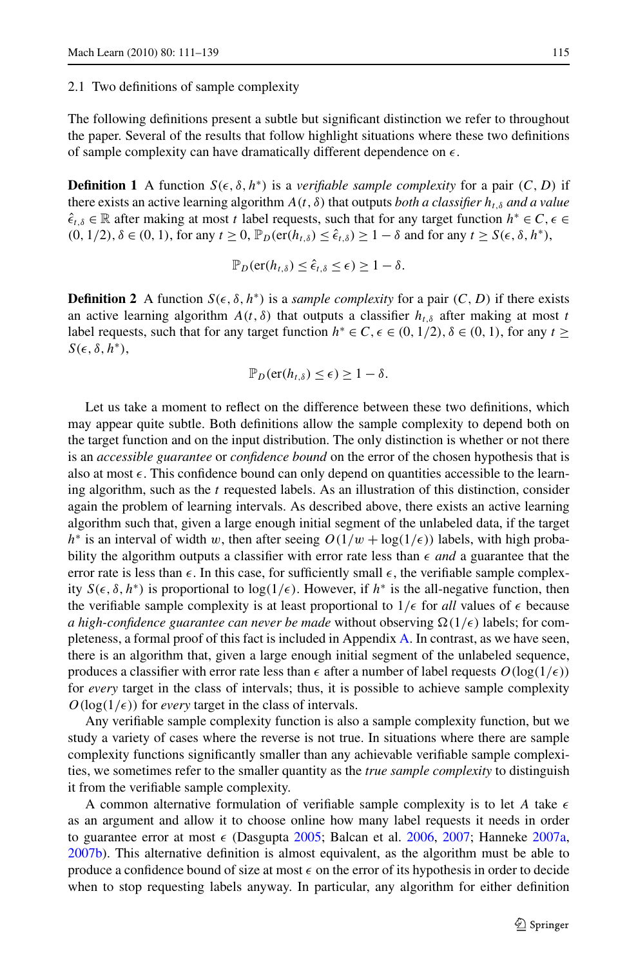## 2.1 Two definitions of sample complexity

The following definitions present a subtle but significant distinction we refer to throughout the paper. Several of the results that follow highlight situations where these two definitions of sample complexity can have dramatically different dependence on  $\epsilon$ .

**Definition 1** A function  $S(\epsilon, \delta, h^*)$  is a *verifiable sample complexity* for a pair  $(C, D)$  if there exists an active learning algorithm  $A(t, \delta)$  that outputs *both a classifier*  $h_{t,\delta}$  *and a value*  $\hat{\epsilon}_{t,\delta} \in \mathbb{R}$  after making at most t label requests, such that for any target function  $h^* \in C, \epsilon \in \mathbb{R}$  $(0, 1/2), \delta \in (0, 1)$ , for any  $t \ge 0$ ,  $\mathbb{P}_D(\text{er}(h_{t,\delta}) \le \hat{\epsilon}_{t,\delta}) \ge 1 - \delta$  and for any  $t \ge S(\epsilon, \delta, h^*)$ ,

$$
\mathbb{P}_D(\mathrm{er}(h_{t,\delta}) \leq \hat{\epsilon}_{t,\delta} \leq \epsilon) \geq 1 - \delta.
$$

**Definition 2** A function  $S(\epsilon, \delta, h^*)$  is a *sample complexity* for a pair  $(C, D)$  if there exists an active learning algorithm  $A(t, \delta)$  that outputs a classifier  $h_{t,\delta}$  after making at most t label requests, such that for any target function  $h^* \in C$ ,  $\epsilon \in (0, 1/2)$ ,  $\delta \in (0, 1)$ , for any  $t \geq$  $S(\epsilon, \delta, h^*),$ 

$$
\mathbb{P}_D(\mathrm{er}(h_{t,\delta})\leq\epsilon)\geq 1-\delta.
$$

Let us take a moment to reflect on the difference between these two definitions, which may appear quite subtle. Both definitions allow the sample complexity to depend both on the target function and on the input distribution. The only distinction is whether or not there is an *accessible guarantee* or *confidence bound* on the error of the chosen hypothesis that is also at most  $\epsilon$ . This confidence bound can only depend on quantities accessible to the learning algorithm, such as the  $t$  requested labels. As an illustration of this distinction, consider again the problem of learning intervals. As described above, there exists an active learning algorithm such that, given a large enough initial segment of the unlabeled data, if the target h<sup>\*</sup> is an interval of width w, then after seeing  $O(1/w + \log(1/\epsilon))$  labels, with high probability the algorithm outputs a classifier with error rate less than  $\epsilon$  *and* a guarantee that the error rate is less than  $\epsilon$ . In this case, for sufficiently small  $\epsilon$ , the verifiable sample complexity  $S(\epsilon, \delta, h^*)$  is proportional to  $log(1/\epsilon)$ . However, if  $h^*$  is the all-negative function, then the verifiable sample complexity is at least proportional to  $1/\epsilon$  for *all* values of  $\epsilon$  because *a high-confidence guarantee can never be made* without observing  $\Omega(1/\epsilon)$  labels; for completeness, a formal proof of this fact is included in Appendix A. In contrast, as we have seen, there is an algorithm that, given a large enough initial segment of the unlabeled sequence, produces a classifier with error rate less than  $\epsilon$  after a number of label requests  $O(\log(1/\epsilon))$ for *every* target in the class of intervals; thus, it is possible to achieve sample complexity  $O(\log(1/\epsilon))$  for *every* target in the class of intervals.

Any verifiable sample complexity function is also a sample complexity function, but we study a variety of cases where the reverse is not true. In situations where there are sample complexity functions significantly smaller than any achievable verifiable sample complexities, we sometimes refer to the smaller quantity as the *true sample complexity* to distinguish it from the verifiable sample complexity.

A common alternative formulation of verifiable sample complexity is to let A take  $\epsilon$ as an argument and allow it to choose online how many label requests it needs in order to guarantee error at most  $\epsilon$  (Dasgupta 2005; Balcan et al. 2006, 2007; Hanneke 2007a, 2007b). This alternative definition is almost equivalent, as the algorithm must be able to produce a confidence bound of size at most  $\epsilon$  on the error of its hypothesis in order to decide when to stop requesting labels anyway. In particular, any algorithm for either definition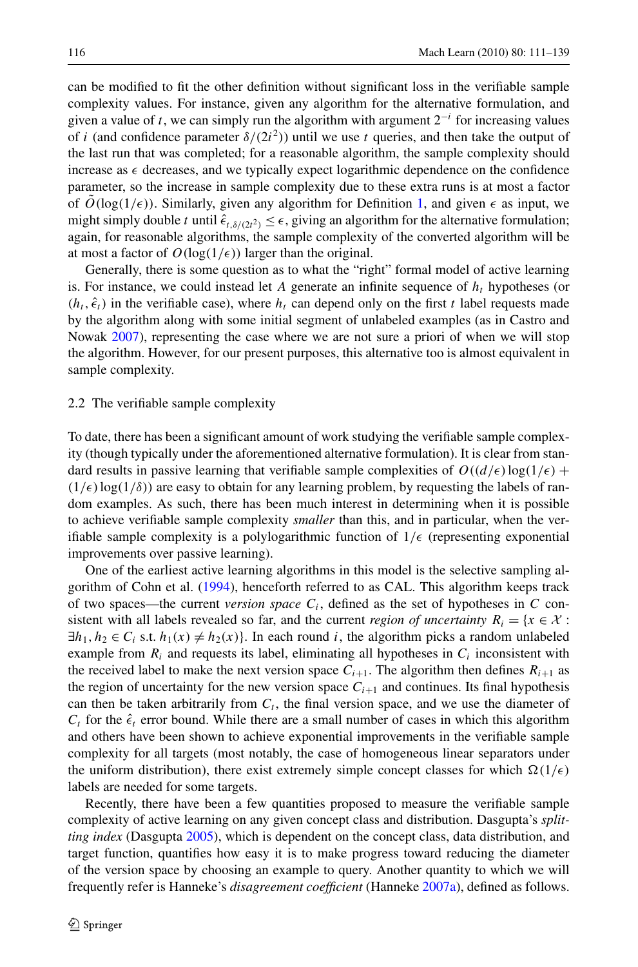can be modified to fit the other definition without significant loss in the verifiable sample complexity values. For instance, given any algorithm for the alternative formulation, and given a value of t, we can simply run the algorithm with argument  $2^{-i}$  for increasing values of *i* (and confidence parameter  $\delta/(2i^2)$ ) until we use *t* queries, and then take the output of the last run that was completed; for a reasonable algorithm, the sample complexity should increase as  $\epsilon$  decreases, and we typically expect logarithmic dependence on the confidence parameter, so the increase in sample complexity due to these extra runs is at most a factor of  $\tilde{O}(\log(1/\epsilon))$ . Similarly, given any algorithm for Definition 1, and given  $\epsilon$  as input, we might simply double t until  $\hat{\epsilon}_{t,\delta/(2t^2)} \leq \epsilon$ , giving an algorithm for the alternative formulation; again, for reasonable algorithms, the sample complexity of the converted algorithm will be at most a factor of  $O(\log(1/\epsilon))$  larger than the original.

Generally, there is some question as to what the "right" formal model of active learning is. For instance, we could instead let A generate an infinite sequence of  $h_t$  hypotheses (or  $(h_t, \hat{\epsilon}_t)$  in the verifiable case), where  $h_t$  can depend only on the first t label requests made by the algorithm along with some initial segment of unlabeled examples (as in Castro and Nowak 2007), representing the case where we are not sure a priori of when we will stop the algorithm. However, for our present purposes, this alternative too is almost equivalent in sample complexity.

# 2.2 The verifiable sample complexity

To date, there has been a significant amount of work studying the verifiable sample complexity (though typically under the aforementioned alternative formulation). It is clear from standard results in passive learning that verifiable sample complexities of  $O((d/\epsilon)\log(1/\epsilon)$  +  $(1/\epsilon)$ log( $1/\delta$ )) are easy to obtain for any learning problem, by requesting the labels of random examples. As such, there has been much interest in determining when it is possible to achieve verifiable sample complexity *smaller* than this, and in particular, when the verifiable sample complexity is a polylogarithmic function of  $1/\epsilon$  (representing exponential improvements over passive learning).

One of the earliest active learning algorithms in this model is the selective sampling algorithm of Cohn et al. (1994), henceforth referred to as CAL. This algorithm keeps track of two spaces—the current *version space*  $C_i$ , defined as the set of hypotheses in  $C$  consistent with all labels revealed so far, and the current *region of uncertainty*  $R_i = \{x \in \mathcal{X}$ :  $\exists h_1, h_2 \in C_i$  s.t.  $h_1(x) \neq h_2(x)$ . In each round i, the algorithm picks a random unlabeled example from  $R_i$  and requests its label, eliminating all hypotheses in  $C_i$  inconsistent with the received label to make the next version space  $C_{i+1}$ . The algorithm then defines  $R_{i+1}$  as the region of uncertainty for the new version space  $C_{i+1}$  and continues. Its final hypothesis can then be taken arbitrarily from  $C_t$ , the final version space, and we use the diameter of  $C_t$  for the  $\hat{\epsilon}_t$  error bound. While there are a small number of cases in which this algorithm and others have been shown to achieve exponential improvements in the verifiable sample complexity for all targets (most notably, the case of homogeneous linear separators under the uniform distribution), there exist extremely simple concept classes for which  $\Omega(1/\epsilon)$ labels are needed for some targets.

Recently, there have been a few quantities proposed to measure the verifiable sample complexity of active learning on any given concept class and distribution. Dasgupta's *splitting index* (Dasgupta 2005), which is dependent on the concept class, data distribution, and target function, quantifies how easy it is to make progress toward reducing the diameter of the version space by choosing an example to query. Another quantity to which we will frequently refer is Hanneke's *disagreement coefficient* (Hanneke 2007a), defined as follows.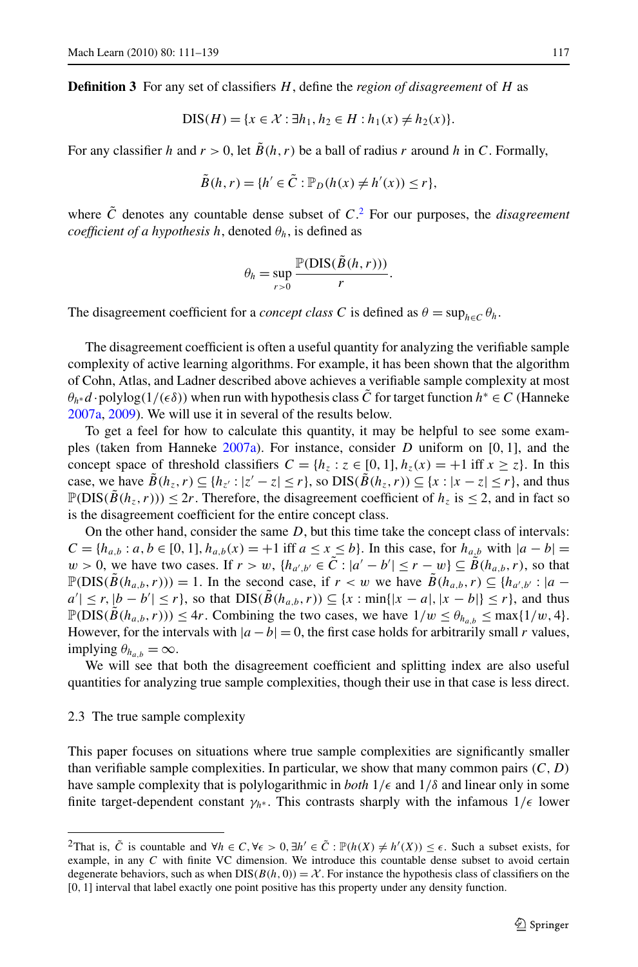**Definition 3** For any set of classifiers H, define the *region of disagreement* of H as

$$
DIS(H) = \{x \in \mathcal{X} : \exists h_1, h_2 \in H : h_1(x) \neq h_2(x)\}.
$$

For any classifier h and  $r > 0$ , let  $\tilde{B}(h, r)$  be a ball of radius r around h in C. Formally,

$$
\tilde{B}(h,r) = \{h' \in \tilde{C} : \mathbb{P}_D(h(x) \neq h'(x)) \leq r\},\
$$

where  $C$  denotes any countable dense subset of  $C<sup>2</sup>$ . For our purposes, the *disagreement coefficient of a hypothesis h*, denoted  $\theta_h$ , is defined as

$$
\theta_h = \sup_{r>0} \frac{\mathbb{P}(\text{DIS}(\tilde{B}(h,r)))}{r}.
$$

The disagreement coefficient for a *concept class* C is defined as  $\theta = \sup_{h \in C} \theta_h$ .

The disagreement coefficient is often a useful quantity for analyzing the verifiable sample complexity of active learning algorithms. For example, it has been shown that the algorithm of Cohn, Atlas, and Ladner described above achieves a verifiable sample complexity at most  $\theta_{h^*}d \cdot \text{polylog}(1/(\epsilon \delta))$  when run with hypothesis class C for target function  $h^* \in C$  (Hanneke 2007a, 2009). We will use it in several of the results below.

To get a feel for how to calculate this quantity, it may be helpful to see some examples (taken from Hanneke 2007a). For instance, consider  $D$  uniform on [0, 1], and the concept space of threshold classifiers  $C = \{h_z : z \in [0, 1], h_z(x) = +1 \text{ iff } x \geq z\}$ . In this case, we have  $B(h_z, r) \subseteq \{h_{z'} : |z' - z| \le r\}$ , so  $DIS(B(h_z, r)) \subseteq \{x : |x - z| \le r\}$ , and thus  $\mathbb{P}(DIS(\tilde{B}(h_z, r))) \le 2r$ . Therefore, the disagreement coefficient of  $h_z$  is  $\le 2$ , and in fact so is the disagreement coefficient for the entire concept class.

On the other hand, consider the same  $D$ , but this time take the concept class of intervals:  $C = \{h_{a,b} : a, b \in [0, 1], h_{a,b}(x) = +1 \text{ iff } a \le x \le b\}.$  In this case, for  $h_{a,b}$  with  $|a - b| =$  $w > 0$ , we have two cases. If  $r > w$ ,  $\{h_{a',b'} \in C : |a' - b'| \le r - w\} \subseteq B(h_{a,b}, r)$ , so that  $\mathbb{P}(DIS(\tilde{B}(h_{a,b}, r))) = 1$ . In the second case, if  $r < w$  we have  $\tilde{B}(h_{a,b}, r) \subseteq \{h_{a',b'} : |a - \tilde{B}(h_{a',b}, r)|\}$  $|a'| \le r, |b - b'| \le r$ , so that DIS( $B(h_{a,b}, r)$ ) ⊆ {x : min{|x − a|, |x − b|} ≤ r}, and thus  $\mathbb{P}(\text{DIS}(\tilde{B}(h_{a,b}, r))) \leq 4r$ . Combining the two cases, we have  $1/w \leq \theta_{h_{a,b}} \leq \max\{1/w, 4\}$ . However, for the intervals with  $|a - b| = 0$ , the first case holds for arbitrarily small r values, implying  $\theta_{h_{a,b}} = \infty$ .

We will see that both the disagreement coefficient and splitting index are also useful quantities for analyzing true sample complexities, though their use in that case is less direct.

## 2.3 The true sample complexity

This paper focuses on situations where true sample complexities are significantly smaller than verifiable sample complexities. In particular, we show that many common pairs  $(C, D)$ have sample complexity that is polylogarithmic in *both*  $1/\epsilon$  and  $1/\delta$  and linear only in some finite target-dependent constant  $\gamma_{h^*}$ . This contrasts sharply with the infamous  $1/\epsilon$  lower

<sup>&</sup>lt;sup>2</sup>That is,  $\tilde{C}$  is countable and  $\forall h \in C, \forall \epsilon > 0, \exists h' \in \tilde{C} : \mathbb{P}(h(X) \neq h'(X)) \leq \epsilon$ . Such a subset exists, for example, in any C with finite VC dimension. We introduce this countable dense subset to avoid certain degenerate behaviors, such as when  $DIS(B(h, 0)) = \mathcal{X}$ . For instance the hypothesis class of classifiers on the [0, 1] interval that label exactly one point positive has this property under any density function.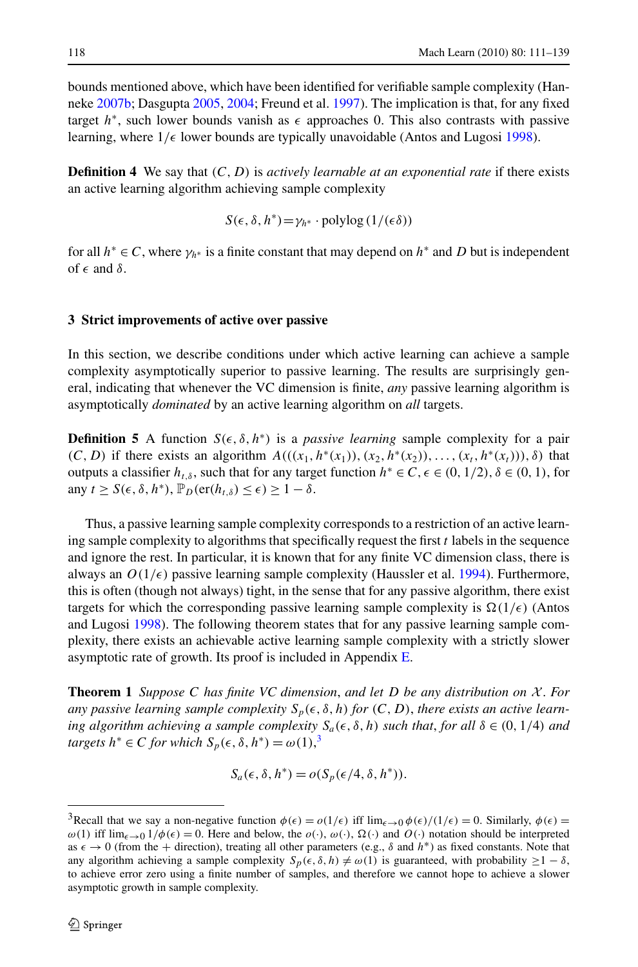bounds mentioned above, which have been identified for verifiable sample complexity (Hanneke 2007b; Dasgupta 2005, 2004; Freund et al. 1997). The implication is that, for any fixed target  $h^*$ , such lower bounds vanish as  $\epsilon$  approaches 0. This also contrasts with passive learning, where  $1/\epsilon$  lower bounds are typically unavoidable (Antos and Lugosi 1998).

**Definition 4** We say that  $(C, D)$  is *actively learnable at an exponential rate* if there exists an active learning algorithm achieving sample complexity

$$
S(\epsilon, \delta, h^*) = \gamma_{h^*} \cdot \text{polylog}(1/(\epsilon \delta))
$$

for all  $h^* \in C$ , where  $\gamma_{h^*}$  is a finite constant that may depend on  $h^*$  and D but is independent of  $\epsilon$  and  $\delta$ .

# **3 Strict improvements of active over passive**

In this section, we describe conditions under which active learning can achieve a sample complexity asymptotically superior to passive learning. The results are surprisingly general, indicating that whenever the VC dimension is finite, *any* passive learning algorithm is asymptotically *dominated* by an active learning algorithm on *all* targets.

**Definition 5** A function  $S(\epsilon, \delta, h^*)$  is a *passive learning* sample complexity for a pair (C, D) if there exists an algorithm  $A(((x_1, h^*(x_1)), (x_2, h^*(x_2)), ..., (x_t, h^*(x_t))), \delta)$  that outputs a classifier  $h_{t,\delta}$ , such that for any target function  $h^* \in C$ ,  $\epsilon \in (0, 1/2)$ ,  $\delta \in (0, 1)$ , for any  $t \geq S(\epsilon, \delta, h^*), \mathbb{P}_D(\mathrm{er}(h_{t,\delta}) \leq \epsilon) \geq 1 - \delta.$ 

Thus, a passive learning sample complexity corresponds to a restriction of an active learning sample complexity to algorithms that specifically request the first  $t$  labels in the sequence and ignore the rest. In particular, it is known that for any finite VC dimension class, there is always an  $O(1/\epsilon)$  passive learning sample complexity (Haussler et al. 1994). Furthermore, this is often (though not always) tight, in the sense that for any passive algorithm, there exist targets for which the corresponding passive learning sample complexity is  $\Omega(1/\epsilon)$  (Antos and Lugosi 1998). The following theorem states that for any passive learning sample complexity, there exists an achievable active learning sample complexity with a strictly slower asymptotic rate of growth. Its proof is included in Appendix  $E$ .

**Theorem 1** *Suppose* C *has finite VC dimension*, *and let* D *be any distribution on* X . *For* any passive learning sample complexity  $S_p(\epsilon, \delta, h)$  for  $(C, D)$ , there exists an active learn*ing algorithm achieving a sample complexity*  $S_a(\epsilon, \delta, h)$  *such that, for all*  $\delta \in (0, 1/4)$  *and targets*  $h^* \in C$  *for which*  $S_p(\epsilon, \delta, h^*) = \omega(1),^3$ 

 $S_a(\epsilon, \delta, h^*) = o(S_p(\epsilon/4, \delta, h^*)).$ 

<sup>&</sup>lt;sup>3</sup>Recall that we say a non-negative function  $\phi(\epsilon) = o(1/\epsilon)$  iff  $\lim_{\epsilon \to 0} \phi(\epsilon)/(1/\epsilon) = 0$ . Similarly,  $\phi(\epsilon) =$  $\omega(1)$  iff  $\lim_{\epsilon \to 0} 1/\phi(\epsilon) = 0$ . Here and below, the  $o(\cdot), \omega(\cdot), \Omega(\cdot)$  and  $O(\cdot)$  notation should be interpreted as  $\epsilon \to 0$  (from the + direction), treating all other parameters (e.g.,  $\delta$  and  $h^*$ ) as fixed constants. Note that any algorithm achieving a sample complexity  $S_p(\epsilon, \delta, h) \neq \omega(1)$  is guaranteed, with probability  $\geq 1 - \delta$ , to achieve error zero using a finite number of samples, and therefore we cannot hope to achieve a slower asymptotic growth in sample complexity.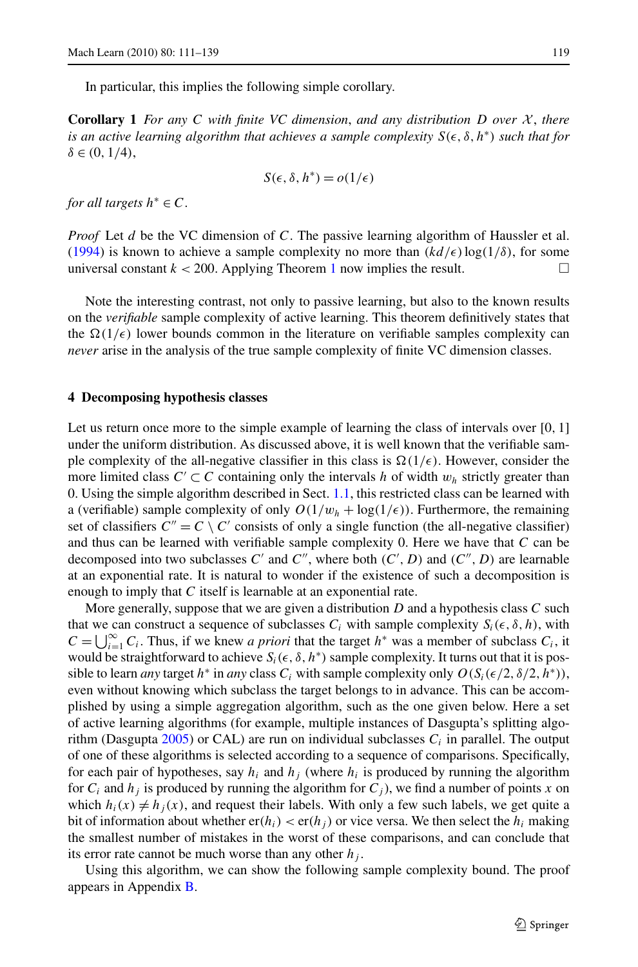In particular, this implies the following simple corollary.

**Corollary 1** *For any* C *with finite VC dimension*, *and any distribution* D *over* X , *there is an active learning algorithm that achieves a sample complexity* S(ǫ, δ, h<sup>∗</sup> ) *such that for*  $\delta \in (0, 1/4),$ 

$$
S(\epsilon, \delta, h^*) = o(1/\epsilon)
$$

for all targets  $h^* \in C$ .

*Proof* Let d be the VC dimension of C. The passive learning algorithm of Haussler et al. (1994) is known to achieve a sample complexity no more than  $(kd/\epsilon) \log(1/\delta)$ , for some universal constant  $k < 200$ . Applying Theorem 1 now implies the result.

Note the interesting contrast, not only to passive learning, but also to the known results on the *verifiable* sample complexity of active learning. This theorem definitively states that the  $\Omega(1/\epsilon)$  lower bounds common in the literature on verifiable samples complexity can *never* arise in the analysis of the true sample complexity of finite VC dimension classes.

## **4 Decomposing hypothesis classes**

Let us return once more to the simple example of learning the class of intervals over [0, 1] under the uniform distribution. As discussed above, it is well known that the verifiable sample complexity of the all-negative classifier in this class is  $\Omega(1/\epsilon)$ . However, consider the more limited class  $C' \subset C$  containing only the intervals h of width  $w_h$  strictly greater than 0. Using the simple algorithm described in Sect. 1.1, this restricted class can be learned with a (verifiable) sample complexity of only  $O(1/w_h + log(1/\epsilon))$ . Furthermore, the remaining set of classifiers  $C'' = C \setminus C'$  consists of only a single function (the all-negative classifier) and thus can be learned with verifiable sample complexity  $0$ . Here we have that  $C$  can be decomposed into two subclasses C' and C'', where both  $(C', D)$  and  $(C'', D)$  are learnable at an exponential rate. It is natural to wonder if the existence of such a decomposition is enough to imply that C itself is learnable at an exponential rate.

More generally, suppose that we are given a distribution  $D$  and a hypothesis class  $C$  such that we can construct a sequence of subclasses  $C_i$  with sample complexity  $S_i(\epsilon, \delta, h)$ , with  $C = \bigcup_{i=1}^{\infty} C_i$ . Thus, if we knew *a priori* that the target  $h^*$  was a member of subclass  $C_i$ , it would be straightforward to achieve  $S_i(\epsilon, \delta, h^*)$  sample complexity. It turns out that it is possible to learn *any* target  $h^*$  in *any* class  $C_i$  with sample complexity only  $O(S_i(\epsilon/2, \delta/2, h^*))$ , even without knowing which subclass the target belongs to in advance. This can be accomplished by using a simple aggregation algorithm, such as the one given below. Here a set of active learning algorithms (for example, multiple instances of Dasgupta's splitting algorithm (Dasgupta  $2005$ ) or CAL) are run on individual subclasses  $C_i$  in parallel. The output of one of these algorithms is selected according to a sequence of comparisons. Specifically, for each pair of hypotheses, say  $h_i$  and  $h_j$  (where  $h_i$  is produced by running the algorithm for  $C_i$  and  $h_j$  is produced by running the algorithm for  $C_j$ ), we find a number of points x on which  $h_i(x) \neq h_i(x)$ , and request their labels. With only a few such labels, we get quite a bit of information about whether  $er(h_i) < er(h_j)$  or vice versa. We then select the  $h_i$  making the smallest number of mistakes in the worst of these comparisons, and can conclude that its error rate cannot be much worse than any other  $h_j$ .

Using this algorithm, we can show the following sample complexity bound. The proof appears in Appendix B.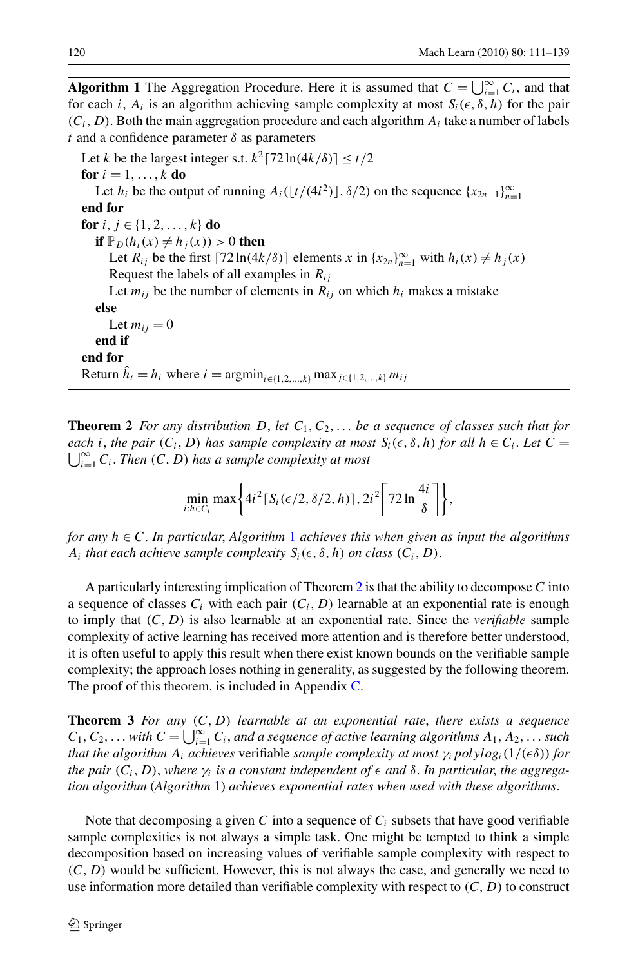**Algorithm 1** The Aggregation Procedure. Here it is assumed that  $C = \bigcup_{i=1}^{\infty} C_i$ , and that for each *i*,  $A_i$  is an algorithm achieving sample complexity at most  $S_i(\epsilon, \delta, h)$  for the pair  $(C_i, D)$ . Both the main aggregation procedure and each algorithm  $A_i$  take a number of labels t and a confidence parameter  $\delta$  as parameters

Let k be the largest integer s.t.  $k^2$  [72 ln(4k/ $\delta$ )]  $\leq t/2$ **for**  $i = 1, \ldots, k$  **do** Let  $h_i$  be the output of running  $A_i(\lfloor t/(4i^2)\rfloor, \delta/2)$  on the sequence  $\{x_{2n-1}\}_{n=1}^{\infty}$ **end for for**  $i, j \in \{1, 2, ..., k\}$  **do if**  $\mathbb{P}_D(h_i(x) \neq h_i(x)) > 0$  **then** Let  $R_{ij}$  be the first  $[72\ln(4k/\delta)]$  elements x in  $\{x_{2n}\}_{n=1}^{\infty}$  with  $h_i(x) \neq h_j(x)$ Request the labels of all examples in  $R_{ij}$ Let  $m_{ij}$  be the number of elements in  $R_{ij}$  on which  $h_i$  makes a mistake **else** Let  $m_{ii} = 0$ **end if end for** Return  $h_i = h_i$  where  $i = \text{argmin}_{i \in \{1, 2, ..., k\}} \max_{j \in \{1, 2, ..., k\}} m_{ij}$ 

**Theorem 2** *For any distribution* D, let  $C_1, C_2, \ldots$  *be a sequence of classes such that for each i*, *the pair* ( $C_i$ ,  $D$ ) *has sample complexity at most*  $S_i(\epsilon, \delta, h)$  *for all*  $h \in C_i$ . Let  $C = \bigcup_{i=1}^{\infty} C_i$ . *Then* ( $C, D$ ) *has a sample complexity at most*  $\sum_{i=1}^{\infty} C_i$ . Then  $(C, D)$  has a sample complexity at most

$$
\min_{i:h \in C_i} \max\bigg\{4i^2\lceil S_i(\epsilon/2, \delta/2, h)\rceil, 2i^2\bigg\lceil 72\ln\frac{4i}{\delta}\bigg\rceil \bigg\},\
$$

*for any* h ∈ C. *In particular*, *Algorithm* 1 *achieves this when given as input the algorithms*  $A_i$  that each achieve sample complexity  $S_i(\epsilon, \delta, h)$  on class  $(C_i, D)$ .

A particularly interesting implication of Theorem 2 is that the ability to decompose  $C$  into a sequence of classes  $C_i$  with each pair  $(C_i, D)$  learnable at an exponential rate is enough to imply that (C, D) is also learnable at an exponential rate. Since the *verifiable* sample complexity of active learning has received more attention and is therefore better understood, it is often useful to apply this result when there exist known bounds on the verifiable sample complexity; the approach loses nothing in generality, as suggested by the following theorem. The proof of this theorem. is included in Appendix C.

**Theorem 3** *For any* (C, D) *learnable at an exponential rate*, *there exists a sequence*  $C_1, C_2, \ldots$  with  $C = \bigcup_{i=1}^{\infty} C_i$ , and a sequence of active learning algorithms  $A_1, A_2, \ldots$  such *that the algorithm*  $A_i$  *achieves* verifiable *sample complexity at most*  $\gamma_i$  *polylog*<sub>*i*</sub>(1/( $\epsilon \delta$ )) *for the pair*  $(C_i, D)$ , where  $\gamma_i$  is a constant independent of  $\epsilon$  and  $\delta$ . In particular, the aggrega*tion algorithm* (*Algorithm* 1) *achieves exponential rates when used with these algorithms*.

Note that decomposing a given C into a sequence of  $C_i$  subsets that have good verifiable sample complexities is not always a simple task. One might be tempted to think a simple decomposition based on increasing values of verifiable sample complexity with respect to  $(C, D)$  would be sufficient. However, this is not always the case, and generally we need to use information more detailed than verifiable complexity with respect to  $(C, D)$  to construct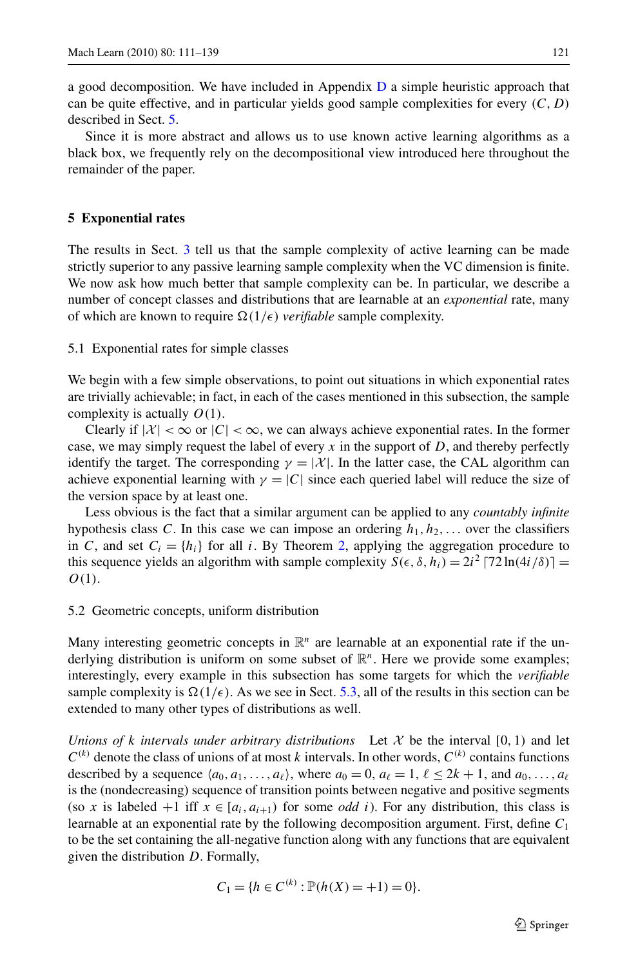a good decomposition. We have included in Appendix D a simple heuristic approach that can be quite effective, and in particular yields good sample complexities for every  $(C, D)$ described in Sect. 5.

Since it is more abstract and allows us to use known active learning algorithms as a black box, we frequently rely on the decompositional view introduced here throughout the remainder of the paper.

## **5 Exponential rates**

The results in Sect. 3 tell us that the sample complexity of active learning can be made strictly superior to any passive learning sample complexity when the VC dimension is finite. We now ask how much better that sample complexity can be. In particular, we describe a number of concept classes and distributions that are learnable at an *exponential* rate, many of which are known to require  $\Omega(1/\epsilon)$  *verifiable* sample complexity.

5.1 Exponential rates for simple classes

We begin with a few simple observations, to point out situations in which exponential rates are trivially achievable; in fact, in each of the cases mentioned in this subsection, the sample complexity is actually  $O(1)$ .

Clearly if  $|\mathcal{X}| < \infty$  or  $|C| < \infty$ , we can always achieve exponential rates. In the former case, we may simply request the label of every x in the support of  $D$ , and thereby perfectly identify the target. The corresponding  $\gamma = |\mathcal{X}|$ . In the latter case, the CAL algorithm can achieve exponential learning with  $\gamma = |C|$  since each queried label will reduce the size of the version space by at least one.

Less obvious is the fact that a similar argument can be applied to any *countably infinite* hypothesis class C. In this case we can impose an ordering  $h_1, h_2, \ldots$  over the classifiers in C, and set  $C_i = \{h_i\}$  for all i. By Theorem 2, applying the aggregation procedure to this sequence yields an algorithm with sample complexity  $S(\epsilon, \delta, h_i) = 2i^2 [72 \ln(4i/\delta)] =$  $O(1)$ .

#### 5.2 Geometric concepts, uniform distribution

Many interesting geometric concepts in  $\mathbb{R}^n$  are learnable at an exponential rate if the underlying distribution is uniform on some subset of  $\mathbb{R}^n$ . Here we provide some examples; interestingly, every example in this subsection has some targets for which the *verifiable* sample complexity is  $\Omega(1/\epsilon)$ . As we see in Sect. 5.3, all of the results in this section can be extended to many other types of distributions as well.

*Unions of k intervals under arbitrary distributions* Let  $X$  be the interval [0, 1) and let  $C^{(k)}$  denote the class of unions of at most k intervals. In other words,  $C^{(k)}$  contains functions described by a sequence  $\langle a_0, a_1, \ldots, a_\ell \rangle$ , where  $a_0 = 0$ ,  $a_\ell = 1$ ,  $\ell \leq 2k + 1$ , and  $a_0, \ldots, a_\ell$ is the (nondecreasing) sequence of transition points between negative and positive segments (so x is labeled +1 iff  $x \in [a_i, a_{i+1})$  for some *odd i*). For any distribution, this class is learnable at an exponential rate by the following decomposition argument. First, define  $C_1$ to be the set containing the all-negative function along with any functions that are equivalent given the distribution D. Formally,

$$
C_1 = \{ h \in C^{(k)} : \mathbb{P}(h(X) = +1) = 0 \}.
$$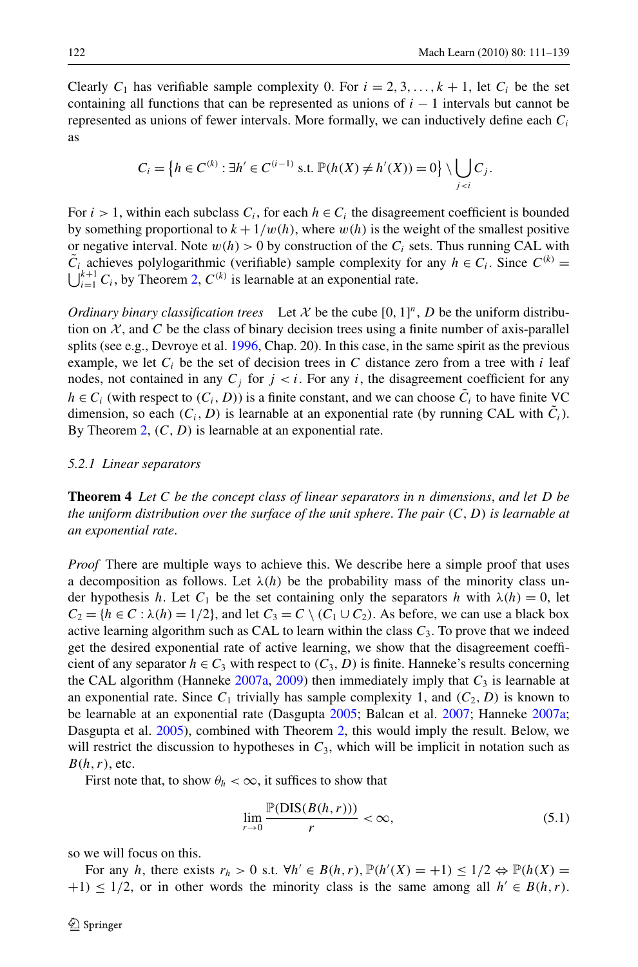Clearly  $C_1$  has verifiable sample complexity 0. For  $i = 2, 3, ..., k + 1$ , let  $C_i$  be the set containing all functions that can be represented as unions of  $i - 1$  intervals but cannot be represented as unions of fewer intervals. More formally, we can inductively define each  $C_i$ as

$$
C_i = \left\{ h \in C^{(k)} : \exists h' \in C^{(i-1)} \text{ s.t. } \mathbb{P}(h(X) \neq h'(X)) = 0 \right\} \setminus \bigcup_{j < i} C_j.
$$

For  $i > 1$ , within each subclass  $C_i$ , for each  $h \in C_i$  the disagreement coefficient is bounded by something proportional to  $k + 1/w(h)$ , where  $w(h)$  is the weight of the smallest positive or negative interval. Note  $w(h) > 0$  by construction of the  $C_i$  sets. Thus running CAL with  $\tilde{C}_i$  achieves polylogarithmic (verifiable) sample complexity for any  $h \in C_i$ . Since  $C^{(k)} =$  $\bigcup_{i=1}^{k+1} C_i$ , by Theorem 2,  $C^{(k)}$  is learnable at an exponential rate.

*Ordinary binary classification trees* Let  $X$  be the cube  $[0, 1]^n$ ,  $D$  be the uniform distribution on  $X$ , and  $C$  be the class of binary decision trees using a finite number of axis-parallel splits (see e.g., Devroye et al. 1996, Chap. 20). In this case, in the same spirit as the previous example, we let  $C_i$  be the set of decision trees in C distance zero from a tree with i leaf nodes, not contained in any  $C_j$  for  $j < i$ . For any i, the disagreement coefficient for any  $h \in C_i$  (with respect to  $(C_i, D)$ ) is a finite constant, and we can choose  $C_i$  to have finite VC dimension, so each  $(C_i, D)$  is learnable at an exponential rate (by running CAL with  $C_i$ ). By Theorem 2,  $(C, D)$  is learnable at an exponential rate.

#### *5.2.1 Linear separators*

**Theorem 4** *Let* C *be the concept class of linear separators in* n *dimensions*, *and let* D *be the uniform distribution over the surface of the unit sphere*. *The pair* (C, D) *is learnable at an exponential rate*.

*Proof* There are multiple ways to achieve this. We describe here a simple proof that uses a decomposition as follows. Let  $\lambda(h)$  be the probability mass of the minority class under hypothesis h. Let  $C_1$  be the set containing only the separators h with  $\lambda(h) = 0$ , let  $C_2 = \{h \in \mathcal{C} : \lambda(h) = 1/2\}$ , and let  $C_3 = \mathcal{C} \setminus (C_1 \cup C_2)$ . As before, we can use a black box active learning algorithm such as CAL to learn within the class  $C_3$ . To prove that we indeed get the desired exponential rate of active learning, we show that the disagreement coefficient of any separator  $h \in C_3$  with respect to  $(C_3, D)$  is finite. Hanneke's results concerning the CAL algorithm (Hanneke 2007a, 2009) then immediately imply that  $C_3$  is learnable at an exponential rate. Since  $C_1$  trivially has sample complexity 1, and  $(C_2, D)$  is known to be learnable at an exponential rate (Dasgupta 2005; Balcan et al. 2007; Hanneke 2007a; Dasgupta et al. 2005), combined with Theorem 2, this would imply the result. Below, we will restrict the discussion to hypotheses in  $C_3$ , which will be implicit in notation such as  $B(h, r)$ , etc.

First note that, to show  $\theta_h < \infty$ , it suffices to show that

$$
\lim_{r \to 0} \frac{\mathbb{P}(\text{DIS}(B(h, r)))}{r} < \infty,\tag{5.1}
$$

so we will focus on this.

For any h, there exists  $r_h > 0$  s.t.  $\forall h' \in B(h, r), \mathbb{P}(h'(X) = +1) \leq 1/2 \Leftrightarrow \mathbb{P}(h(X) =$  $+1$ )  $\leq 1/2$ , or in other words the minority class is the same among all  $h' \in B(h,r)$ .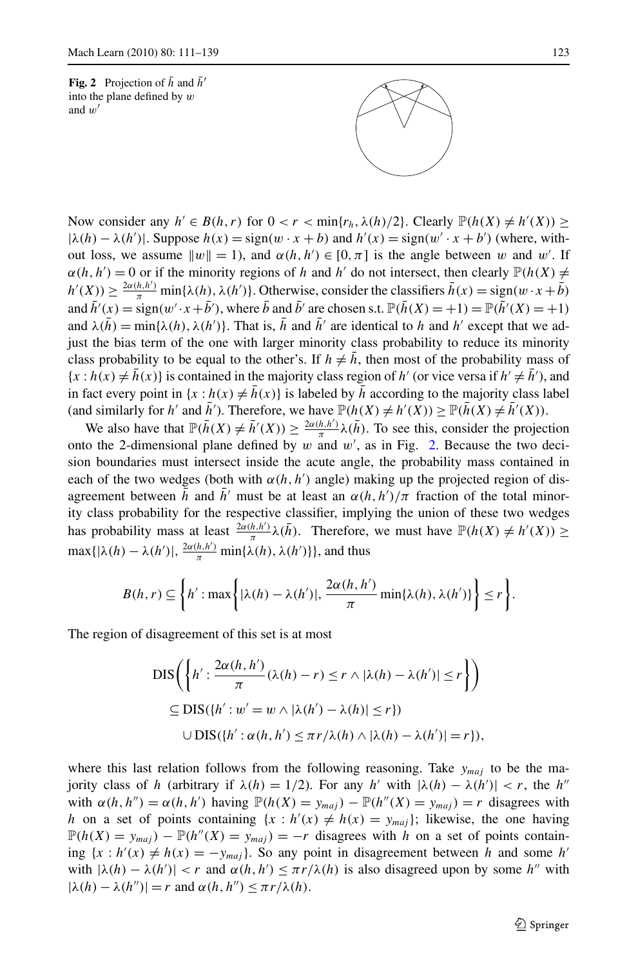**Fig. 2** Projection of  $\bar{h}$  and  $\bar{h}'$ into the plane defined by w and  $w'$ 



Now consider any  $h' \in B(h, r)$  for  $0 < r < \min\{r_h, \lambda(h)/2\}$ . Clearly  $\mathbb{P}(h(X) \neq h'(X)) \ge$  $|\lambda(h) - \lambda(h')|$ . Suppose  $h(x) = sign(w \cdot x + b)$  and  $h'(x) = sign(w' \cdot x + b')$  (where, without loss, we assume  $||w|| = 1$ ), and  $\alpha(h, h') \in [0, \pi]$  is the angle between w and w'. If  $\alpha(h, h') = 0$  or if the minority regions of h and h' do not intersect, then clearly  $\mathbb{P}(h(X) \neq 0)$  $h'(X) \ge \frac{2\alpha(h,h')}{\pi} \min\{\lambda(h), \lambda(h')\}.$  Otherwise, consider the classifiers  $\bar{h}(x) = \text{sign}(w \cdot x + \bar{b})$ and  $\bar{h}'(x) = \text{sign}(w' \cdot x + \bar{b}')$ , where  $\bar{b}$  and  $\bar{b}'$  are chosen s.t.  $\mathbb{P}(\bar{h}(X) = +1) = \mathbb{P}(\bar{h}'(X) = +1)$ and  $\lambda(h) = \min{\{\lambda(h), \lambda(h')\}}$ . That is, h and h' are identical to h and h' except that we adjust the bias term of the one with larger minority class probability to reduce its minority class probability to be equal to the other's. If  $h \neq \bar{h}$ , then most of the probability mass of  $\{x : h(x) \neq h(x)\}$  is contained in the majority class region of h' (or vice versa if  $h' \neq h'$ ), and in fact every point in  $\{x : h(x) \neq h(x)\}$  is labeled by h according to the majority class label (and similarly for h' and  $\bar{h}'$ ). Therefore, we have  $\mathbb{P}(h(X) \neq h'(X)) \geq \mathbb{P}(\bar{h}(X) \neq \bar{h}'(X))$ .

We also have that  $\mathbb{P}(\bar{h}(X) \neq \bar{h}'(X)) \geq \frac{2\alpha(h,h')}{\pi} \lambda(\bar{h})$ . To see this, consider the projection onto the 2-dimensional plane defined by w and  $w'$ , as in Fig. 2. Because the two decision boundaries must intersect inside the acute angle, the probability mass contained in each of the two wedges (both with  $\alpha(h, h')$  angle) making up the projected region of disagreement between h and h' must be at least an  $\alpha(h, h')/\pi$  fraction of the total minority class probability for the respective classifier, implying the union of these two wedges has probability mass at least  $\frac{2\alpha(h,h')}{\pi}\lambda(\bar{h})$ . Therefore, we must have  $\mathbb{P}(h(X) \neq h'(X)) \ge$  $\max\{|\lambda(h) - \lambda(h')|, \frac{2\alpha(h,h')}{\pi} \min\{\lambda(h), \lambda(h')\}\}\$ , and thus

$$
B(h,r) \subseteq \left\{ h': \max\left\{ |\lambda(h) - \lambda(h')|, \frac{2\alpha(h,h')}{\pi} \min\{\lambda(h), \lambda(h')\}\right\} \leq r \right\}.
$$

The region of disagreement of this set is at most

$$
\begin{aligned} \text{DIS}\bigg(\bigg\{h': \frac{2\alpha(h, h')}{\pi}(\lambda(h) - r) \le r \wedge |\lambda(h) - \lambda(h')| \le r\bigg\}\bigg) \\ &\subseteq \text{DIS}(\{h': w' = w \wedge |\lambda(h') - \lambda(h)| \le r\}) \\ &\cup \text{DIS}(\{h': \alpha(h, h') \le \pi r/\lambda(h) \wedge |\lambda(h) - \lambda(h')| = r\}), \end{aligned}
$$

where this last relation follows from the following reasoning. Take  $y_{mai}$  to be the majority class of h (arbitrary if  $\lambda(h) = 1/2$ ). For any h' with  $|\lambda(h) - \lambda(h')| < r$ , the h'' with  $\alpha(h, h'') = \alpha(h, h')$  having  $\mathbb{P}(h(X) = y_{maj}) - \mathbb{P}(h''(X) = y_{maj}) = r$  disagrees with h on a set of points containing  $\{x : h'(x) \neq h(x) = y_{maj}\}$ ; likewise, the one having  $\mathbb{P}(h(X) = y_{maj}) - \mathbb{P}(h''(X) = y_{maj}) = -r$  disagrees with h on a set of points containing  $\{x : h'(x) \neq h(x) = -y_{maj}\}\$ . So any point in disagreement between h and some h' with  $|\lambda(h) - \lambda(h')| < r$  and  $\alpha(h, h') \leq \pi r / \lambda(h)$  is also disagreed upon by some h'' with  $|\lambda(h) - \lambda(h'')| = r$  and  $\alpha(h, h'') \leq \pi r / \lambda(h)$ .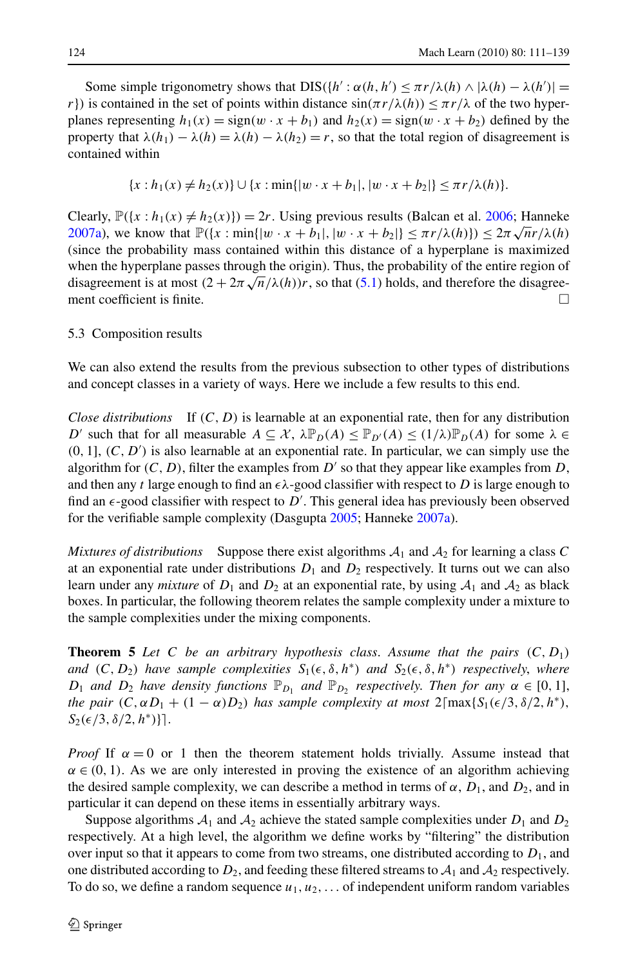Some simple trigonometry shows that  $DIS({h': \alpha(h, h') \leq \pi r / \lambda(h) \land |\lambda(h) - \lambda(h')| =$ r}) is contained in the set of points within distance  $\sin(\pi r/\lambda(h)) \leq \pi r/\lambda$  of the two hyperplanes representing  $h_1(x) = sign(w \cdot x + b_1)$  and  $h_2(x) = sign(w \cdot x + b_2)$  defined by the property that  $\lambda(h_1) - \lambda(h) = \lambda(h) - \lambda(h_2) = r$ , so that the total region of disagreement is contained within

$$
\{x: h_1(x) \neq h_2(x)\} \cup \{x: \min\{|w \cdot x + b_1|, |w \cdot x + b_2|\} \leq \pi r/\lambda(h)\}.
$$

Clearly,  $\mathbb{P}(\{x : h_1(x) \neq h_2(x)\}) = 2r$ . Using previous results (Balcan et al. 2006; Hanneke 2007a), we know that  $\mathbb{P}(\{x : \min\{|w \cdot x + b_1|, |w \cdot x + b_2|\} \leq \pi r/\lambda(h)\}) \leq 2\pi \sqrt{n}r/\lambda(h)$ (since the probability mass contained within this distance of a hyperplane is maximized when the hyperplane passes through the origin). Thus, the probability of the entire region of disagreement is at most  $(2 + 2\pi \sqrt{n}/\lambda(h))r$ , so that (5.1) holds, and therefore the disagreement coefficient is finite.

# 5.3 Composition results

We can also extend the results from the previous subsection to other types of distributions and concept classes in a variety of ways. Here we include a few results to this end.

*Close distributions* If (C, D) is learnable at an exponential rate, then for any distribution D' such that for all measurable  $A \subseteq \mathcal{X}$ ,  $\lambda \mathbb{P}_D(A) \leq \mathbb{P}_{D'}(A) \leq (1/\lambda) \mathbb{P}_D(A)$  for some  $\lambda \in$  $(0, 1]$ ,  $(C, D')$  is also learnable at an exponential rate. In particular, we can simply use the algorithm for  $(C, D)$ , filter the examples from  $D'$  so that they appear like examples from D, and then any t large enough to find an  $\epsilon \lambda$ -good classifier with respect to D is large enough to find an  $\epsilon$ -good classifier with respect to D'. This general idea has previously been observed for the verifiable sample complexity (Dasgupta 2005; Hanneke 2007a).

*Mixtures of distributions* Suppose there exist algorithms  $A_1$  and  $A_2$  for learning a class C at an exponential rate under distributions  $D_1$  and  $D_2$  respectively. It turns out we can also learn under any *mixture* of  $D_1$  and  $D_2$  at an exponential rate, by using  $A_1$  and  $A_2$  as black boxes. In particular, the following theorem relates the sample complexity under a mixture to the sample complexities under the mixing components.

**Theorem 5** Let C be an arbitrary hypothesis class. Assume that the pairs  $(C, D_1)$ *and*  $(C, D_2)$  *have sample complexities*  $S_1(\epsilon, \delta, h^*)$  *and*  $S_2(\epsilon, \delta, h^*)$  *respectively, where*  $D_1$  *and*  $D_2$  *have density functions*  $\mathbb{P}_{D_1}$  *and*  $\mathbb{P}_{D_2}$  *respectively. Then for any*  $\alpha \in [0, 1]$ *, the pair*  $(C, \alpha D_1 + (1 - \alpha)D_2)$  *has sample complexity at most*  $2 \lceil max\{S_1(\epsilon/3, \delta/2, h^*)\}$ ,  $S_2(\epsilon/3, \delta/2, h^*)\}$ .

*Proof* If  $\alpha = 0$  or 1 then the theorem statement holds trivially. Assume instead that  $\alpha \in (0, 1)$ . As we are only interested in proving the existence of an algorithm achieving the desired sample complexity, we can describe a method in terms of  $\alpha$ ,  $D_1$ , and  $D_2$ , and in particular it can depend on these items in essentially arbitrary ways.

Suppose algorithms  $A_1$  and  $A_2$  achieve the stated sample complexities under  $D_1$  and  $D_2$ respectively. At a high level, the algorithm we define works by "filtering" the distribution over input so that it appears to come from two streams, one distributed according to  $D_1$ , and one distributed according to  $D_2$ , and feeding these filtered streams to  $A_1$  and  $A_2$  respectively. To do so, we define a random sequence  $u_1, u_2, \ldots$  of independent uniform random variables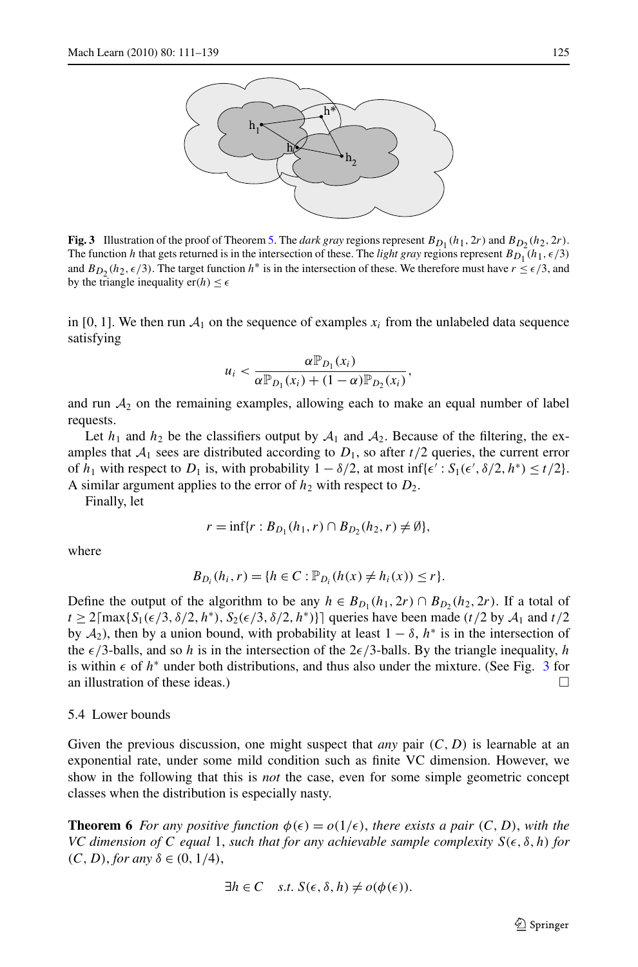

**Fig. 3** Illustration of the proof of Theorem 5. The *dark gray* regions represent  $B_{D_1}(h_1, 2r)$  and  $B_{D_2}(h_2, 2r)$ . The function h that gets returned is in the intersection of these. The *light gray* regions represent  $B_{D_1}(h_1, \epsilon/3)$ and  $B_{D_2}(h_2, \epsilon/3)$ . The target function  $h^*$  is in the intersection of these. We therefore must have  $r \le \epsilon/3$ , and by the triangle inequality er(h)  $\leq \epsilon$ 

in [0, 1]. We then run  $A_1$  on the sequence of examples  $x_i$  from the unlabeled data sequence satisfying

$$
u_i < \frac{\alpha \mathbb{P}_{D_1}(x_i)}{\alpha \mathbb{P}_{D_1}(x_i) + (1 - \alpha) \mathbb{P}_{D_2}(x_i)},
$$

and run  $A_2$  on the remaining examples, allowing each to make an equal number of label requests.

Let  $h_1$  and  $h_2$  be the classifiers output by  $A_1$  and  $A_2$ . Because of the filtering, the examples that  $A_1$  sees are distributed according to  $D_1$ , so after  $t/2$  queries, the current error of  $h_1$  with respect to  $D_1$  is, with probability  $1 - \delta/2$ , at most inf{ $\epsilon' : S_1(\epsilon', \delta/2, h^*) \le t/2$ . A similar argument applies to the error of  $h_2$  with respect to  $D_2$ .

Finally, let

$$
r = \inf\{r : B_{D_1}(h_1, r) \cap B_{D_2}(h_2, r) \neq \emptyset\},\
$$

where

$$
B_{D_i}(h_i, r) = \{ h \in C : \mathbb{P}_{D_i}(h(x) \neq h_i(x)) \leq r \}.
$$

Define the output of the algorithm to be any  $h \in B_{D_1}(h_1, 2r) \cap B_{D_2}(h_2, 2r)$ . If a total of  $t \ge 2 \lceil \max\{S_1(\epsilon/3, \delta/2, h^*), S_2(\epsilon/3, \delta/2, h^*)\}\rceil$  queries have been made (t/2 by  $\mathcal{A}_1$  and t/2 by  $A_2$ ), then by a union bound, with probability at least  $1 - \delta$ ,  $h^*$  is in the intersection of the  $\epsilon/3$ -balls, and so h is in the intersection of the 2 $\epsilon/3$ -balls. By the triangle inequality, h is within  $\epsilon$  of  $h^*$  under both distributions, and thus also under the mixture. (See Fig. 3 for an illustration of these ideas.)

# 5.4 Lower bounds

Given the previous discussion, one might suspect that *any* pair (C, D) is learnable at an exponential rate, under some mild condition such as finite VC dimension. However, we show in the following that this is *not* the case, even for some simple geometric concept classes when the distribution is especially nasty.

**Theorem 6** *For any positive function*  $\phi(\epsilon) = o(1/\epsilon)$ , *there exists a pair* (C, D), *with the VC* dimension of *C* equal 1, *such that for any achievable sample complexity*  $S(\epsilon, \delta, h)$  *for*  $(C, D)$ , *for any*  $\delta \in (0, 1/4)$ ,

$$
\exists h \in C \quad s.t. \ S(\epsilon, \delta, h) \neq o(\phi(\epsilon)).
$$

 $\mathcal{D}$  Springer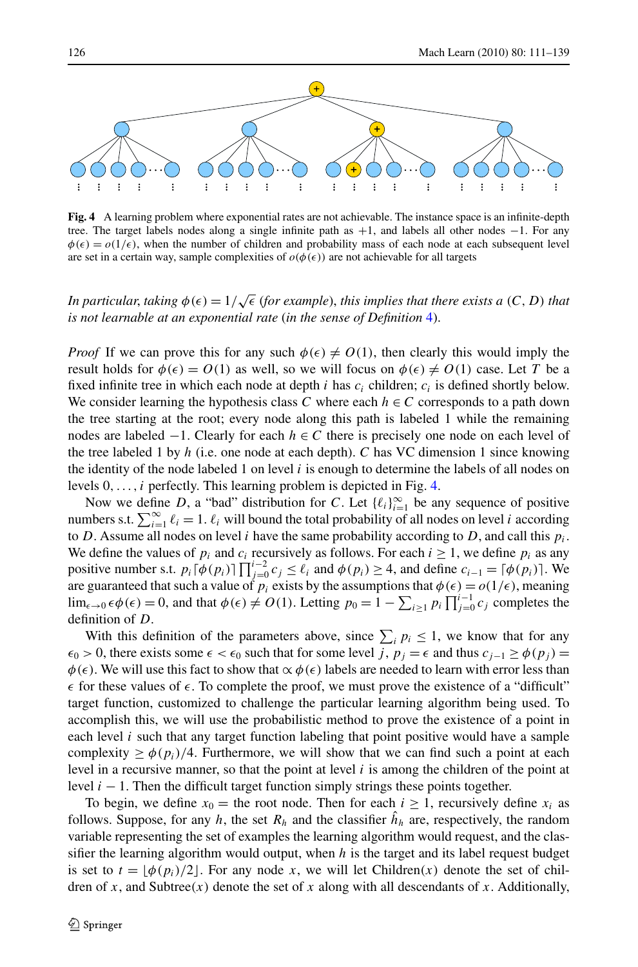

**Fig. 4** A learning problem where exponential rates are not achievable. The instance space is an infinite-depth tree. The target labels nodes along a single infinite path as +1, and labels all other nodes −1. For any  $\phi(\epsilon) = o(1/\epsilon)$ , when the number of children and probability mass of each node at each subsequent level are set in a certain way, sample complexities of  $o(\phi(\epsilon))$  are not achievable for all targets

*In particular, taking*  $\phi(\epsilon) = 1/\sqrt{\epsilon}$  (for example), *this implies that there exists a* (C, D) *that is not learnable at an exponential rate* (*in the sense of Definition* 4).

*Proof* If we can prove this for any such  $\phi(\epsilon) \neq O(1)$ , then clearly this would imply the result holds for  $\phi(\epsilon) = O(1)$  as well, so we will focus on  $\phi(\epsilon) \neq O(1)$  case. Let T be a fixed infinite tree in which each node at depth  $i$  has  $c_i$  children;  $c_i$  is defined shortly below. We consider learning the hypothesis class C where each  $h \in C$  corresponds to a path down the tree starting at the root; every node along this path is labeled 1 while the remaining nodes are labeled  $-1$ . Clearly for each  $h \in C$  there is precisely one node on each level of the tree labeled 1 by  $h$  (i.e. one node at each depth). C has VC dimension 1 since knowing the identity of the node labeled 1 on level  $i$  is enough to determine the labels of all nodes on levels  $0, \ldots, i$  perfectly. This learning problem is depicted in Fig. 4.

Now we define D, a "bad" distribution for C. Let  $\{\ell_i\}_{i=1}^{\infty}$  be any sequence of positive numbers s.t.  $\sum_{i=1}^{\infty} \ell_i = 1$ .  $\ell_i$  will bound the total probability of all nodes on level *i* according to D. Assume all nodes on level *i* have the same probability according to D, and call this  $p_i$ . We define the values of  $p_i$  and  $c_i$  recursively as follows. For each  $i \ge 1$ , we define  $p_i$  as any positive number s.t.  $p_i [\phi(p_i)] \prod_{j=0}^{i-2} c_j \leq \ell_i$  and  $\phi(p_i) \geq 4$ , and define  $c_{i-1} = [\phi(p_i)]$ . We are guaranteed that such a value of  $p_i$  exists by the assumptions that  $\phi(\epsilon) = o(1/\epsilon)$ , meaning  $\lim_{\epsilon \to 0} \epsilon \phi(\epsilon) = 0$ , and that  $\phi(\epsilon) \neq O(1)$ . Letting  $p_0 = 1 - \sum_{i \geq 1} p_i \prod_{j=0}^{i-1} c_j$  completes the definition of D.

With this definition of the parameters above, since  $\sum_i p_i \leq 1$ , we know that for any  $\epsilon_0 > 0$ , there exists some  $\epsilon < \epsilon_0$  such that for some level j,  $p_i = \epsilon$  and thus  $c_{i-1} \ge \phi(p_i) =$  $\phi(\epsilon)$ . We will use this fact to show that  $\propto \phi(\epsilon)$  labels are needed to learn with error less than  $\epsilon$  for these values of  $\epsilon$ . To complete the proof, we must prove the existence of a "difficult" target function, customized to challenge the particular learning algorithm being used. To accomplish this, we will use the probabilistic method to prove the existence of a point in each level  $i$  such that any target function labeling that point positive would have a sample complexity  $\geq \phi(p_i)/4$ . Furthermore, we will show that we can find such a point at each level in a recursive manner, so that the point at level  $i$  is among the children of the point at level  $i - 1$ . Then the difficult target function simply strings these points together.

To begin, we define  $x_0 =$  the root node. Then for each  $i \ge 1$ , recursively define  $x_i$  as follows. Suppose, for any h, the set  $R_h$  and the classifier  $h_h$  are, respectively, the random variable representing the set of examples the learning algorithm would request, and the classifier the learning algorithm would output, when  $h$  is the target and its label request budget is set to  $t = \lfloor \phi(p_i)/2 \rfloor$ . For any node x, we will let Children(x) denote the set of children of x, and Subtree(x) denote the set of x along with all descendants of x. Additionally,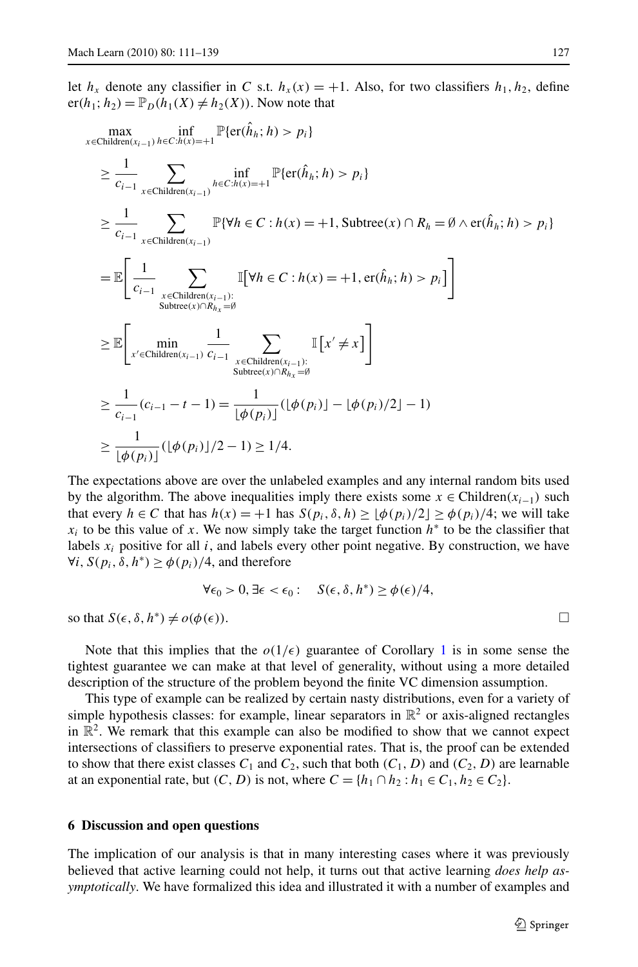let  $h_x$  denote any classifier in C s.t.  $h_x(x) = +1$ . Also, for two classifiers  $h_1, h_2$ , define  $er(h_1; h_2) = \mathbb{P}_D(h_1(X) \neq h_2(X))$ . Now note that

$$
\max_{x \in \text{Children}(x_{i-1})} \inf_{h \in C: h(x) = +1} \mathbb{P}\{\text{er}(\hat{h}_h; h) > p_i\}
$$
\n
$$
\geq \frac{1}{c_{i-1}} \sum_{x \in \text{Children}(x_{i-1})} \inf_{h \in C: h(x) = +1} \mathbb{P}\{\text{er}(\hat{h}_h; h) > p_i\}
$$
\n
$$
\geq \frac{1}{c_{i-1}} \sum_{x \in \text{Children}(x_{i-1})} \mathbb{P}\{\forall h \in C: h(x) = +1, \text{Subtree}(x) \cap R_h = \emptyset \land \text{er}(\hat{h}_h; h) > p_i\}
$$
\n
$$
= \mathbb{E}\left[\frac{1}{c_{i-1}} \sum_{\substack{x \in \text{Children}(x_{i-1}):\\ \text{Subtree}(x) \cap R_{h_x} = \emptyset}} \mathbb{I}\left[\forall h \in C: h(x) = +1, \text{er}(\hat{h}_h; h) > p_i\right]\right]
$$
\n
$$
\geq \mathbb{E}\left[\min_{x' \in \text{Children}(x_{i-1})} \frac{1}{c_{i-1}} \sum_{\substack{x \in \text{Children}(x_{i-1}):\\ \text{Subtree}(x) \cap R_{h_x} = \emptyset}} \mathbb{I}\left[x' \neq x\right]\right]
$$
\n
$$
\geq \frac{1}{c_{i-1}}(c_{i-1} - t - 1) = \frac{1}{\lfloor \phi(p_i) \rfloor} (\lfloor \phi(p_i) \rfloor - \lfloor \phi(p_i)/2 \rfloor - 1)
$$
\n
$$
\geq \frac{1}{\lfloor \phi(p_i) \rfloor} (\lfloor \phi(p_i) \rfloor/2 - 1) \geq 1/4.
$$

The expectations above are over the unlabeled examples and any internal random bits used by the algorithm. The above inequalities imply there exists some  $x \in Children(x_{i-1})$  such that every  $h \in C$  that has  $h(x) = +1$  has  $S(p_i, \delta, h) \geq \lfloor \phi(p_i)/2 \rfloor \geq \phi(p_i)/4$ ; we will take  $x_i$  to be this value of x. We now simply take the target function  $h^*$  to be the classifier that labels  $x_i$  positive for all  $i$ , and labels every other point negative. By construction, we have  $\forall i, S(p_i, \delta, h^*) \ge \phi(p_i)/4$ , and therefore

$$
\forall \epsilon_0 > 0, \exists \epsilon < \epsilon_0: \quad S(\epsilon, \delta, h^*) \ge \phi(\epsilon)/4,
$$

so that  $S(\epsilon, \delta, h^*) \neq o(\phi(\epsilon)).$  $)\neq o(\phi(\epsilon)).$ 

Note that this implies that the  $o(1/\epsilon)$  guarantee of Corollary 1 is in some sense the tightest guarantee we can make at that level of generality, without using a more detailed description of the structure of the problem beyond the finite VC dimension assumption.

This type of example can be realized by certain nasty distributions, even for a variety of simple hypothesis classes: for example, linear separators in  $\mathbb{R}^2$  or axis-aligned rectangles in  $\mathbb{R}^2$ . We remark that this example can also be modified to show that we cannot expect intersections of classifiers to preserve exponential rates. That is, the proof can be extended to show that there exist classes  $C_1$  and  $C_2$ , such that both  $(C_1, D)$  and  $(C_2, D)$  are learnable at an exponential rate, but  $(C, D)$  is not, where  $C = \{h_1 \cap h_2 : h_1 \in C_1, h_2 \in C_2\}.$ 

# **6 Discussion and open questions**

The implication of our analysis is that in many interesting cases where it was previously believed that active learning could not help, it turns out that active learning *does help asymptotically*. We have formalized this idea and illustrated it with a number of examples and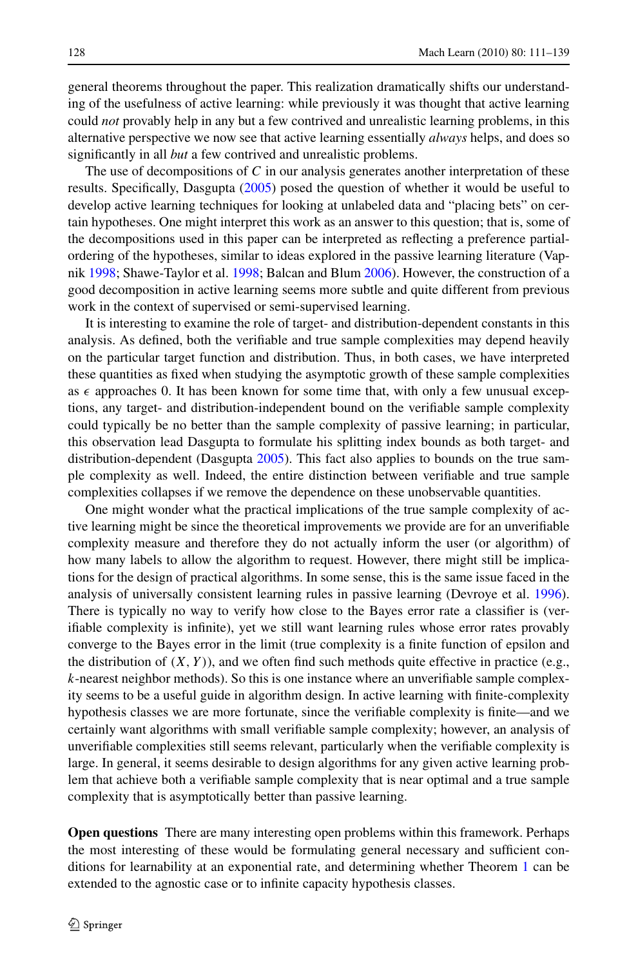general theorems throughout the paper. This realization dramatically shifts our understanding of the usefulness of active learning: while previously it was thought that active learning could *not* provably help in any but a few contrived and unrealistic learning problems, in this alternative perspective we now see that active learning essentially *always* helps, and does so significantly in all *but* a few contrived and unrealistic problems.

The use of decompositions of  $C$  in our analysis generates another interpretation of these results. Specifically, Dasgupta (2005) posed the question of whether it would be useful to develop active learning techniques for looking at unlabeled data and "placing bets" on certain hypotheses. One might interpret this work as an answer to this question; that is, some of the decompositions used in this paper can be interpreted as reflecting a preference partialordering of the hypotheses, similar to ideas explored in the passive learning literature (Vapnik 1998; Shawe-Taylor et al. 1998; Balcan and Blum 2006). However, the construction of a good decomposition in active learning seems more subtle and quite different from previous work in the context of supervised or semi-supervised learning.

It is interesting to examine the role of target- and distribution-dependent constants in this analysis. As defined, both the verifiable and true sample complexities may depend heavily on the particular target function and distribution. Thus, in both cases, we have interpreted these quantities as fixed when studying the asymptotic growth of these sample complexities as  $\epsilon$  approaches 0. It has been known for some time that, with only a few unusual exceptions, any target- and distribution-independent bound on the verifiable sample complexity could typically be no better than the sample complexity of passive learning; in particular, this observation lead Dasgupta to formulate his splitting index bounds as both target- and distribution-dependent (Dasgupta 2005). This fact also applies to bounds on the true sample complexity as well. Indeed, the entire distinction between verifiable and true sample complexities collapses if we remove the dependence on these unobservable quantities.

One might wonder what the practical implications of the true sample complexity of active learning might be since the theoretical improvements we provide are for an unverifiable complexity measure and therefore they do not actually inform the user (or algorithm) of how many labels to allow the algorithm to request. However, there might still be implications for the design of practical algorithms. In some sense, this is the same issue faced in the analysis of universally consistent learning rules in passive learning (Devroye et al. 1996). There is typically no way to verify how close to the Bayes error rate a classifier is (verifiable complexity is infinite), yet we still want learning rules whose error rates provably converge to the Bayes error in the limit (true complexity is a finite function of epsilon and the distribution of  $(X, Y)$ ), and we often find such methods quite effective in practice (e.g., k-nearest neighbor methods). So this is one instance where an unverifiable sample complexity seems to be a useful guide in algorithm design. In active learning with finite-complexity hypothesis classes we are more fortunate, since the verifiable complexity is finite—and we certainly want algorithms with small verifiable sample complexity; however, an analysis of unverifiable complexities still seems relevant, particularly when the verifiable complexity is large. In general, it seems desirable to design algorithms for any given active learning problem that achieve both a verifiable sample complexity that is near optimal and a true sample complexity that is asymptotically better than passive learning.

**Open questions** There are many interesting open problems within this framework. Perhaps the most interesting of these would be formulating general necessary and sufficient conditions for learnability at an exponential rate, and determining whether Theorem 1 can be extended to the agnostic case or to infinite capacity hypothesis classes.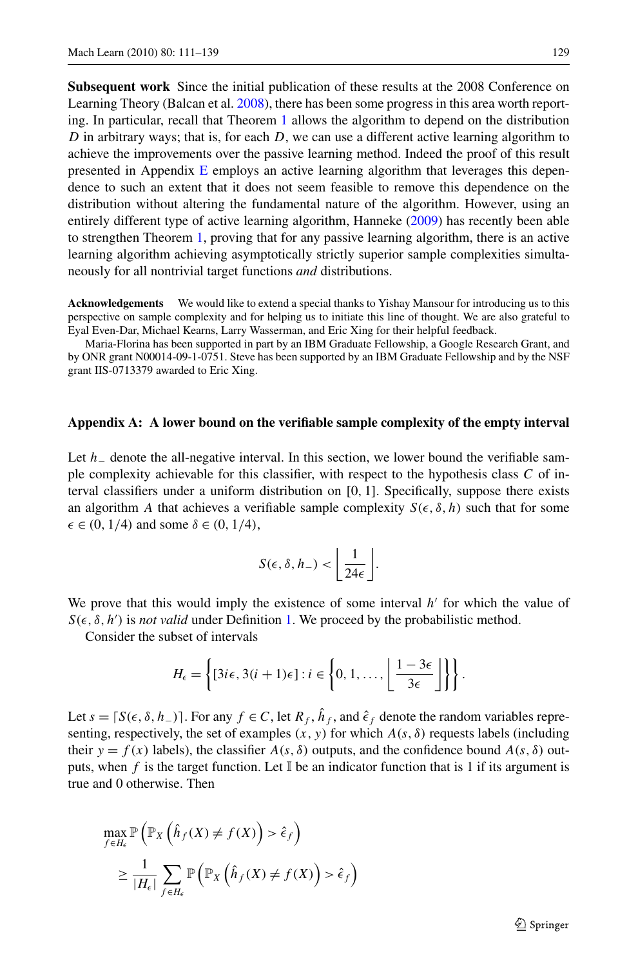**Subsequent work** Since the initial publication of these results at the 2008 Conference on Learning Theory (Balcan et al. 2008), there has been some progress in this area worth reporting. In particular, recall that Theorem 1 allows the algorithm to depend on the distribution  $D$  in arbitrary ways; that is, for each  $D$ , we can use a different active learning algorithm to achieve the improvements over the passive learning method. Indeed the proof of this result presented in Appendix E employs an active learning algorithm that leverages this dependence to such an extent that it does not seem feasible to remove this dependence on the distribution without altering the fundamental nature of the algorithm. However, using an entirely different type of active learning algorithm, Hanneke (2009) has recently been able to strengthen Theorem 1, proving that for any passive learning algorithm, there is an active learning algorithm achieving asymptotically strictly superior sample complexities simultaneously for all nontrivial target functions *and* distributions.

**Acknowledgements** We would like to extend a special thanks to Yishay Mansour for introducing us to this perspective on sample complexity and for helping us to initiate this line of thought. We are also grateful to Eyal Even-Dar, Michael Kearns, Larry Wasserman, and Eric Xing for their helpful feedback.

Maria-Florina has been supported in part by an IBM Graduate Fellowship, a Google Research Grant, and by ONR grant N00014-09-1-0751. Steve has been supported by an IBM Graduate Fellowship and by the NSF grant IIS-0713379 awarded to Eric Xing.

# **Appendix A: A lower bound on the verifiable sample complexity of the empty interval**

Let  $h_$  denote the all-negative interval. In this section, we lower bound the verifiable sample complexity achievable for this classifier, with respect to the hypothesis class  $C$  of interval classifiers under a uniform distribution on [0, 1]. Specifically, suppose there exists an algorithm A that achieves a verifiable sample complexity  $S(\epsilon, \delta, h)$  such that for some  $\epsilon \in (0, 1/4)$  and some  $\delta \in (0, 1/4)$ ,

$$
S(\epsilon,\delta,h_-) < \left\lfloor \frac{1}{24\epsilon} \right\rfloor.
$$

We prove that this would imply the existence of some interval  $h'$  for which the value of  $S(\epsilon, \delta, h')$  is *not valid* under Definition 1. We proceed by the probabilistic method.

Consider the subset of intervals

$$
H_{\epsilon} = \left\{ [3i\epsilon, 3(i+1)\epsilon] : i \in \left\{0, 1, \ldots, \left\lfloor \frac{1-3\epsilon}{3\epsilon} \right\rfloor \right\} \right\}.
$$

Let  $s = [S(\epsilon, \delta, h_{-})]$ . For any  $f \in C$ , let  $R_f$ ,  $h_f$ , and  $\hat{\epsilon}_f$  denote the random variables representing, respectively, the set of examples  $(x, y)$  for which  $A(s, \delta)$  requests labels (including their  $y = f(x)$  labels), the classifier  $A(s, \delta)$  outputs, and the confidence bound  $A(s, \delta)$  outputs, when f is the target function. Let  $\mathbb I$  be an indicator function that is 1 if its argument is true and 0 otherwise. Then

$$
\max_{f \in H_{\epsilon}} \mathbb{P} \left( \mathbb{P}_{X} \left( \hat{h}_{f}(X) \neq f(X) \right) > \hat{\epsilon}_{f} \right) \n\geq \frac{1}{|H_{\epsilon}|} \sum_{f \in H_{\epsilon}} \mathbb{P} \left( \mathbb{P}_{X} \left( \hat{h}_{f}(X) \neq f(X) \right) > \hat{\epsilon}_{f} \right)
$$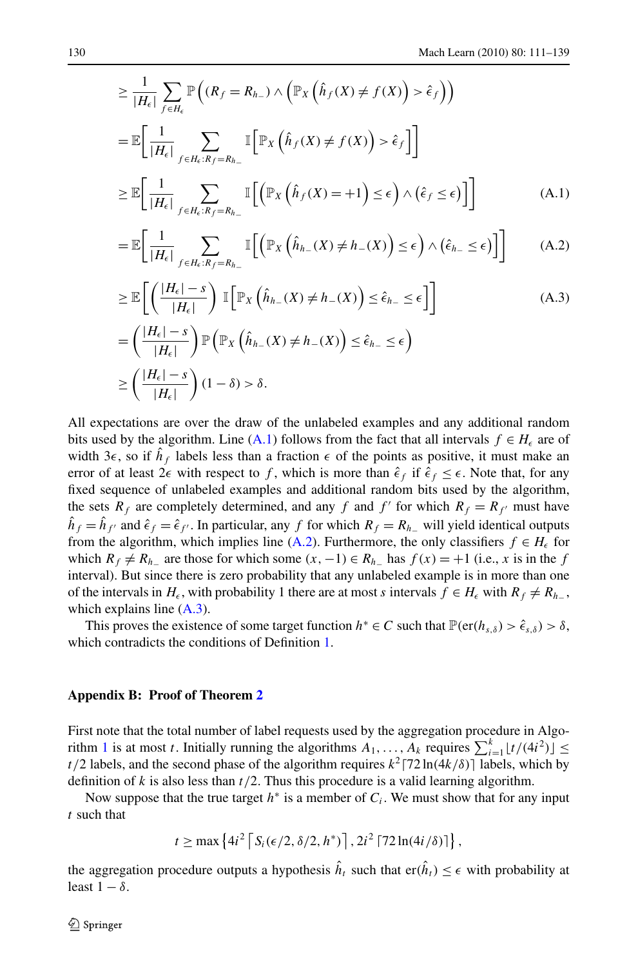$$
\geq \frac{1}{|H_{\epsilon}|} \sum_{f \in H_{\epsilon}} \mathbb{P}\left((R_f = R_{h_{-}}) \wedge \left(\mathbb{P}_X\left(\hat{h}_f(X) \neq f(X)\right) > \hat{\epsilon}_f\right)\right)
$$
\n
$$
= \mathbb{E}\left[\frac{1}{|H_{\epsilon}|} \sum_{f \in H_{\epsilon}: R_f = R_{h_{-}}} \mathbb{I}\left[\mathbb{P}_X\left(\hat{h}_f(X) \neq f(X)\right) > \hat{\epsilon}_f\right]\right]
$$
\n
$$
\geq \mathbb{E}\left[\frac{1}{|H_{\epsilon}|} \sum_{f \in H_{\epsilon}: R_f = R_{h_{-}}} \mathbb{I}\left[\left(\mathbb{P}_X\left(\hat{h}_f(X) = +1\right) \leq \epsilon\right) \wedge \left(\hat{\epsilon}_f \leq \epsilon\right)\right]\right]
$$
\n(A.1)

$$
= \mathbb{E}\bigg[\frac{1}{|H_{\epsilon}|}\sum_{f \in H_{\epsilon}:R_{f}=R_{h_{-}}} \mathbb{I}\bigg[\bigg(\mathbb{P}_{X}\left(\hat{h}_{h_{-}}(X) \neq h_{-}(X)\right) \leq \epsilon\bigg) \wedge \left(\hat{\epsilon}_{h_{-}} \leq \epsilon\right)\bigg]\bigg] \tag{A.2}
$$

$$
\geq \mathbb{E}\left[\left(\frac{|H_{\epsilon}| - s}{|H_{\epsilon}|}\right) \mathbb{I}\left[\mathbb{P}_{X}\left(\hat{h}_{h_{-}}(X) \neq h_{-}(X)\right) \leq \hat{\epsilon}_{h_{-}} \leq \epsilon\right]\right]
$$
\n
$$
= \left(\frac{|H_{\epsilon}| - s}{|H_{\epsilon}|}\right) \mathbb{P}\left(\mathbb{P}_{X}\left(\hat{h}_{h_{-}}(X) \neq h_{-}(X)\right) \leq \hat{\epsilon}_{h_{-}} \leq \epsilon\right)
$$
\n(A.3)

$$
\geq \left(\frac{|H_{\epsilon}|-s}{|H_{\epsilon}|}\right)(1-\delta) > \delta.
$$

All expectations are over the draw of the unlabeled examples and any additional random bits used by the algorithm. Line (A.1) follows from the fact that all intervals  $f \in H_{\epsilon}$  are of width 3 $\epsilon$ , so if  $h_f$  labels less than a fraction  $\epsilon$  of the points as positive, it must make an error of at least  $2\epsilon$  with respect to f, which is more than  $\hat{\epsilon}_f$  if  $\hat{\epsilon}_f \leq \epsilon$ . Note that, for any fixed sequence of unlabeled examples and additional random bits used by the algorithm, the sets  $R_f$  are completely determined, and any f and f' for which  $R_f = R_{f'}$  must have  $h_f = h_{f'}$  and  $\hat{\epsilon}_f = \hat{\epsilon}_{f'}$ . In particular, any f for which  $R_f = R_{h-}$  will yield identical outputs from the algorithm, which implies line (A.2). Furthermore, the only classifiers  $f \in H_\epsilon$  for which  $R_f \neq R_{h-}$  are those for which some  $(x, -1) \in R_{h-}$  has  $f(x) = +1$  (i.e., x is in the f interval). But since there is zero probability that any unlabeled example is in more than one of the intervals in  $H_{\epsilon}$ , with probability 1 there are at most s intervals  $f \in H_{\epsilon}$  with  $R_f \neq R_{h-}$ , which explains line  $(A.3)$ .

This proves the existence of some target function  $h^* \in C$  such that  $\mathbb{P}(\text{er}(h_{s,\delta}) > \hat{\epsilon}_{s,\delta}) > \delta$ , which contradicts the conditions of Definition 1.

## **Appendix B: Proof of Theorem 2**

First note that the total number of label requests used by the aggregation procedure in Algorithm 1 is at most t. Initially running the algorithms  $A_1, \ldots, A_k$  requires  $\sum_{i=1}^k \lfloor t/(4i^2) \rfloor \le$  $t/2$  labels, and the second phase of the algorithm requires  $k^2$  [72 ln(4 $k/δ$ )] labels, which by definition of k is also less than  $t/2$ . Thus this procedure is a valid learning algorithm.

Now suppose that the true target  $h^*$  is a member of  $C_i$ . We must show that for any input t such that

$$
t \geq \max\left\{4i^2\left\lceil S_i(\epsilon/2, \delta/2, h^*)\right\rceil, 2i^2\left\lceil 72\ln(4i/\delta)\right\rceil\right\},\,
$$

the aggregation procedure outputs a hypothesis  $h_t$  such that  $er(h_t) \leq \epsilon$  with probability at least  $1 - \delta$ .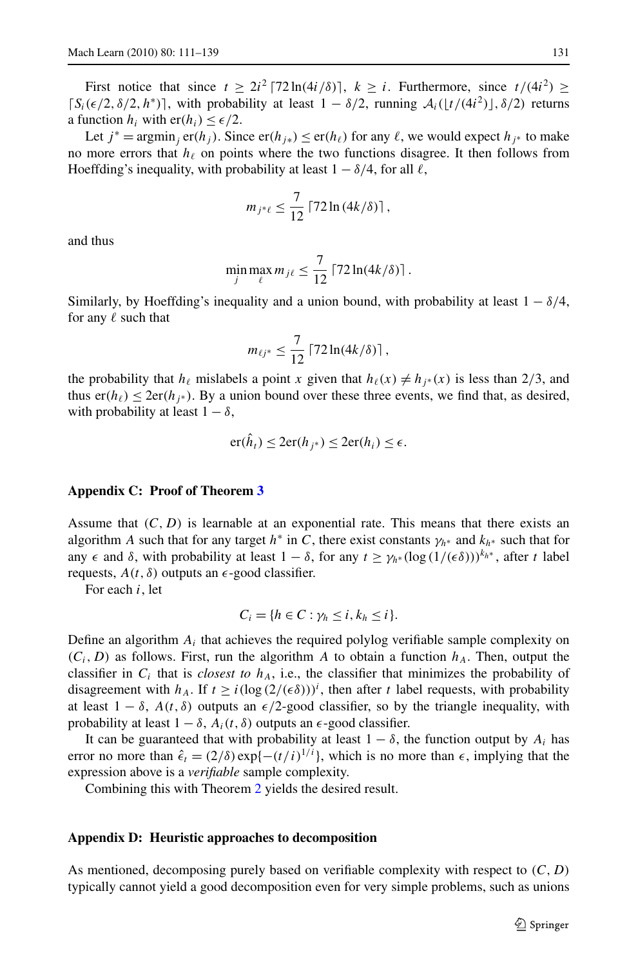First notice that since  $t \geq 2i^2 [72 \ln(4i/\delta)], k \geq i$ . Furthermore, since  $t/(4i^2) \geq$  $[S_i(\epsilon/2, \delta/2, h^*)]$ , with probability at least  $1 - \delta/2$ , running  $\mathcal{A}_i(\lfloor t/(4i^2)\rfloor, \delta/2)$  returns a function  $h_i$  with  $er(h_i) < \epsilon/2$ .

Let  $j^* = \operatorname{argmin}_j \operatorname{er}(h_j)$ . Since  $\operatorname{er}(h_{j*}) \leq \operatorname{er}(h_\ell)$  for any  $\ell$ , we would expect  $h_{j^*}$  to make no more errors that  $h_{\ell}$  on points where the two functions disagree. It then follows from Hoeffding's inequality, with probability at least  $1 - \delta/4$ , for all  $\ell$ ,

$$
m_{j^*\ell} \leq \frac{7}{12} \left[ 72 \ln \left( 4k/\delta \right) \right],
$$

and thus

$$
\min_j \max_\ell m_{j\ell} \leq \frac{7}{12} \left[ 72 \ln(4k/\delta) \right].
$$

Similarly, by Hoeffding's inequality and a union bound, with probability at least  $1 - \delta/4$ , for any  $\ell$  such that

$$
m_{\ell j^*} \leq \frac{7}{12} \left[ 72 \ln(4k/\delta) \right],
$$

the probability that  $h_{\ell}$  mislabels a point x given that  $h_{\ell}(x) \neq h_{j^*}(x)$  is less than 2/3, and thus er( $h_{\ell}$ )  $\leq$  2er( $h_{j*}$ ). By a union bound over these three events, we find that, as desired, with probability at least  $1 - \delta$ ,

$$
\mathrm{er}(\hat{h}_t) \leq 2\mathrm{er}(h_{j^*}) \leq 2\mathrm{er}(h_i) \leq \epsilon.
$$

## **Appendix C: Proof of Theorem 3**

Assume that  $(C, D)$  is learnable at an exponential rate. This means that there exists an algorithm A such that for any target  $h^*$  in C, there exist constants  $\gamma_{h^*}$  and  $k_{h^*}$  such that for any  $\epsilon$  and  $\delta$ , with probability at least  $1 - \delta$ , for any  $t \ge \gamma_{h^*}(\log(1/(\epsilon \delta)))^{k_{h^*}}$ , after t label requests,  $A(t, \delta)$  outputs an  $\epsilon$ -good classifier.

For each i, let

$$
C_i = \{h \in C : \gamma_h \le i, k_h \le i\}.
$$

Define an algorithm  $A_i$  that achieves the required polylog verifiable sample complexity on  $(C_i, D)$  as follows. First, run the algorithm A to obtain a function  $h_A$ . Then, output the classifier in  $C_i$  that is *closest to*  $h_A$ , i.e., the classifier that minimizes the probability of disagreement with  $h_A$ . If  $t \ge i (\log (2/(\epsilon \delta)))^i$ , then after t label requests, with probability at least  $1 - \delta$ ,  $A(t, \delta)$  outputs an  $\epsilon/2$ -good classifier, so by the triangle inequality, with probability at least  $1 - \delta$ ,  $A_i(t, \delta)$  outputs an  $\epsilon$ -good classifier.

It can be guaranteed that with probability at least  $1 - \delta$ , the function output by  $A_i$  has error no more than  $\hat{\epsilon}_t = (2/\delta) \exp\{- (t/i)^{1/i}\}$ , which is no more than  $\epsilon$ , implying that the expression above is a *verifiable* sample complexity.

Combining this with Theorem 2 yields the desired result.

#### **Appendix D: Heuristic approaches to decomposition**

As mentioned, decomposing purely based on verifiable complexity with respect to  $(C, D)$ typically cannot yield a good decomposition even for very simple problems, such as unions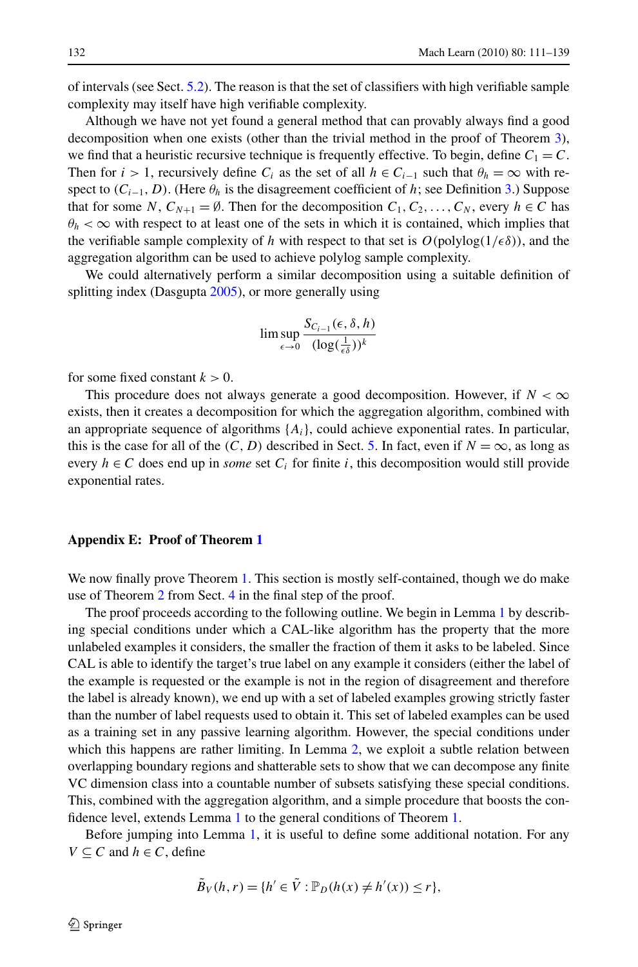of intervals (see Sect. 5.2). The reason is that the set of classifiers with high verifiable sample complexity may itself have high verifiable complexity.

Although we have not yet found a general method that can provably always find a good decomposition when one exists (other than the trivial method in the proof of Theorem 3), we find that a heuristic recursive technique is frequently effective. To begin, define  $C_1 = C$ . Then for  $i > 1$ , recursively define C<sub>i</sub> as the set of all  $h \in C_{i-1}$  such that  $\theta_h = \infty$  with respect to  $(C_{i-1}, D)$ . (Here  $\theta_h$  is the disagreement coefficient of h; see Definition 3.) Suppose that for some N,  $C_{N+1} = \emptyset$ . Then for the decomposition  $C_1, C_2, \ldots, C_N$ , every  $h \in C$  has  $\theta_h < \infty$  with respect to at least one of the sets in which it is contained, which implies that the verifiable sample complexity of h with respect to that set is  $O(polylog(1/\epsilon \delta))$ , and the aggregation algorithm can be used to achieve polylog sample complexity.

We could alternatively perform a similar decomposition using a suitable definition of splitting index (Dasgupta 2005), or more generally using

$$
\limsup_{\epsilon \to 0} \frac{S_{C_{i-1}}(\epsilon, \delta, h)}{(\log(\frac{1}{\epsilon \delta}))^k}
$$

for some fixed constant  $k > 0$ .

This procedure does not always generate a good decomposition. However, if  $N < \infty$ exists, then it creates a decomposition for which the aggregation algorithm, combined with an appropriate sequence of algorithms  $\{A_i\}$ , could achieve exponential rates. In particular, this is the case for all of the  $(C, D)$  described in Sect. 5. In fact, even if  $N = \infty$ , as long as every  $h \in C$  does end up in *some* set  $C_i$  for finite i, this decomposition would still provide exponential rates.

## **Appendix E: Proof of Theorem 1**

We now finally prove Theorem 1. This section is mostly self-contained, though we do make use of Theorem 2 from Sect. 4 in the final step of the proof.

The proof proceeds according to the following outline. We begin in Lemma 1 by describing special conditions under which a CAL-like algorithm has the property that the more unlabeled examples it considers, the smaller the fraction of them it asks to be labeled. Since CAL is able to identify the target's true label on any example it considers (either the label of the example is requested or the example is not in the region of disagreement and therefore the label is already known), we end up with a set of labeled examples growing strictly faster than the number of label requests used to obtain it. This set of labeled examples can be used as a training set in any passive learning algorithm. However, the special conditions under which this happens are rather limiting. In Lemma 2, we exploit a subtle relation between overlapping boundary regions and shatterable sets to show that we can decompose any finite VC dimension class into a countable number of subsets satisfying these special conditions. This, combined with the aggregation algorithm, and a simple procedure that boosts the confidence level, extends Lemma 1 to the general conditions of Theorem 1.

Before jumping into Lemma 1, it is useful to define some additional notation. For any  $V \subseteq C$  and  $h \in C$ , define

$$
\tilde{B}_V(h,r) = \{ h' \in \tilde{V} : \mathbb{P}_D(h(x) \neq h'(x)) \leq r \},\
$$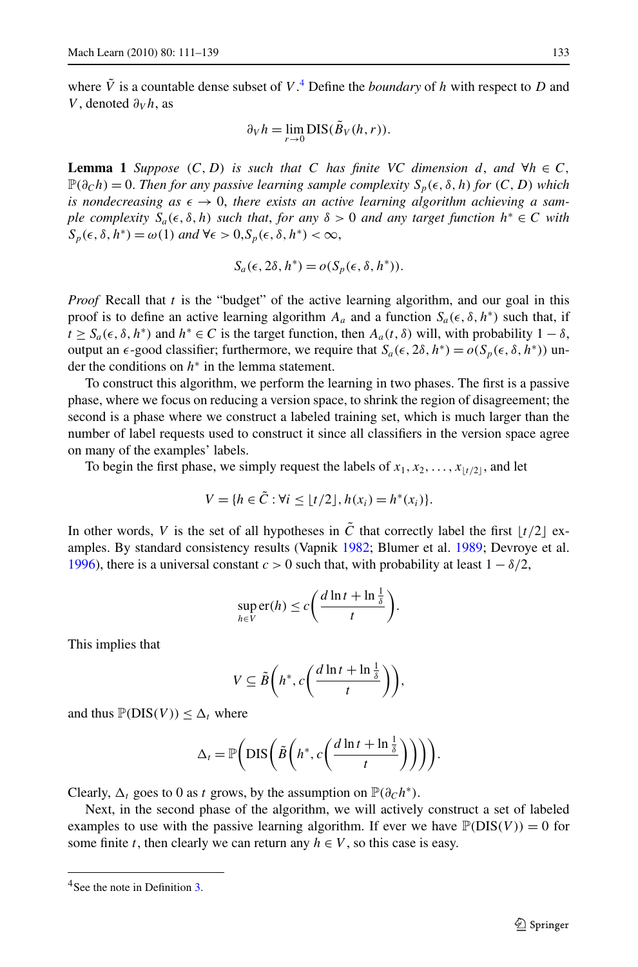where *V* is a countable dense subset of  $V$ .<sup>4</sup> Define the *boundary* of h with respect to D and V, denoted  $\partial_V h$ , as

$$
\partial_V h = \lim_{r \to 0} \text{DIS}(\tilde{B}_V(h, r)).
$$

**Lemma 1** *Suppose*  $(C, D)$  *is such that* C *has finite VC* dimension d, and  $\forall h \in C$ ,  $\mathbb{P}(\partial_C h) = 0$ . Then for any passive learning sample complexity  $S_p(\epsilon, \delta, h)$  for  $(C, D)$  which *is nondecreasing as*  $\epsilon \to 0$ , *there exists an active learning algorithm achieving a sample complexity*  $S_a(\epsilon, \delta, h)$  *such that, for any*  $\delta > 0$  *and any target function*  $h^* \in C$  *with*  $S_p(\epsilon, \delta, h^*) = \omega(1)$  and  $\forall \epsilon > 0, S_p(\epsilon, \delta, h^*) < \infty$ ,

$$
S_a(\epsilon, 2\delta, h^*) = o(S_p(\epsilon, \delta, h^*)).
$$

*Proof* Recall that  $t$  is the "budget" of the active learning algorithm, and our goal in this proof is to define an active learning algorithm  $A_a$  and a function  $S_a(\epsilon, \delta, h^*)$  such that, if  $t \geq S_a(\epsilon, \delta, h^*)$  and  $h^* \in C$  is the target function, then  $A_a(t, \delta)$  will, with probability  $1 - \delta$ , output an  $\epsilon$ -good classifier; furthermore, we require that  $S_a(\epsilon, 2\delta, h^*) = o(S_p(\epsilon, \delta, h^*))$  under the conditions on  $h^*$  in the lemma statement.

To construct this algorithm, we perform the learning in two phases. The first is a passive phase, where we focus on reducing a version space, to shrink the region of disagreement; the second is a phase where we construct a labeled training set, which is much larger than the number of label requests used to construct it since all classifiers in the version space agree on many of the examples' labels.

To begin the first phase, we simply request the labels of  $x_1, x_2, \ldots, x_{\lfloor t/2 \rfloor}$ , and let

$$
V = \{ h \in C : \forall i \leq \lfloor t/2 \rfloor, h(x_i) = h^*(x_i) \}.
$$

In other words, V is the set of all hypotheses in  $\tilde{C}$  that correctly label the first  $|t/2|$  examples. By standard consistency results (Vapnik 1982; Blumer et al. 1989; Devroye et al. 1996), there is a universal constant  $c > 0$  such that, with probability at least  $1 - \delta/2$ ,

$$
\sup_{h \in V} \operatorname{er}(h) \le c \bigg( \frac{d \ln t + \ln \frac{1}{\delta}}{t} \bigg).
$$

This implies that

$$
V \subseteq \tilde{B}\left(h^*, c\left(\frac{d\ln t + \ln\frac{1}{\delta}}{t}\right)\right),\
$$

and thus  $\mathbb{P}(\text{DIS}(V)) \leq \Delta_t$  where

$$
\Delta_t = \mathbb{P}\bigg(DIS\bigg(\tilde{B}\bigg(h^*, c\bigg(\frac{d\ln t + \ln\frac{1}{\delta}}{t}\bigg)\bigg)\bigg)\bigg).
$$

Clearly,  $\Delta_t$  goes to 0 as t grows, by the assumption on  $\mathbb{P}(\partial_C h^*)$ .

Next, in the second phase of the algorithm, we will actively construct a set of labeled examples to use with the passive learning algorithm. If ever we have  $\mathbb{P}(DIS(V)) = 0$  for some finite t, then clearly we can return any  $h \in V$ , so this case is easy.

<sup>&</sup>lt;sup>4</sup>See the note in Definition 3.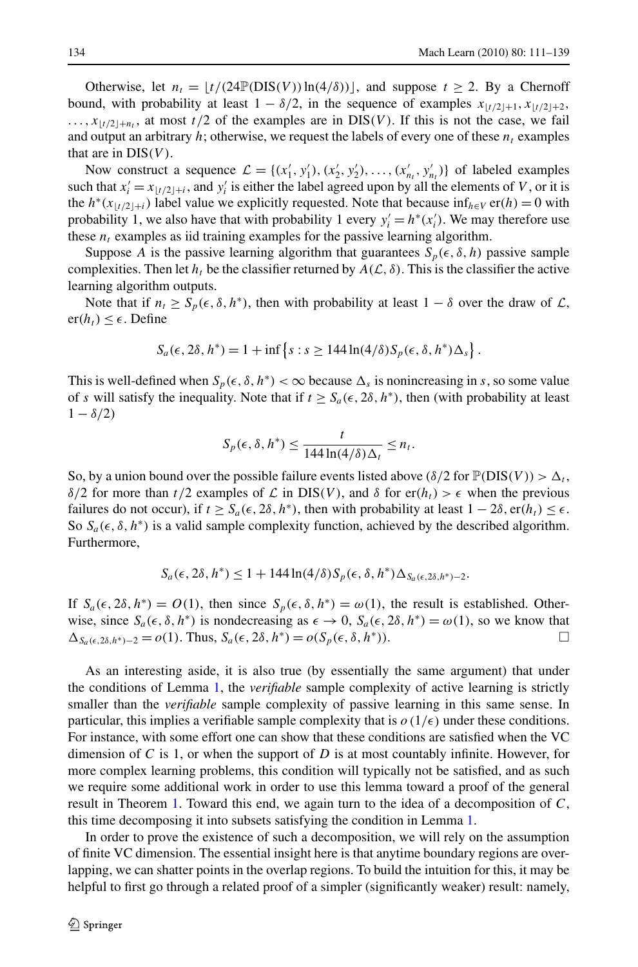Otherwise, let  $n_t = \frac{t}{(24\mathbb{P}(DIS(V)) \ln(4/\delta))}$ , and suppose  $t \geq 2$ . By a Chernoff bound, with probability at least  $1 - \delta/2$ , in the sequence of examples  $x_{\frac{1}{2}+1}, x_{\frac{1}{2}+2}$ ,  $\dots, x_{\lfloor t/2\rfloor+n_t}$ , at most  $t/2$  of the examples are in DIS(V). If this is not the case, we fail and output an arbitrary h; otherwise, we request the labels of every one of these  $n_t$  examples that are in  $DIS(V)$ .

Now construct a sequence  $\mathcal{L} = \{(x'_1, y'_1), (x'_2, y'_2), \dots, (x'_{n_t}, y'_{n_t})\}$  of labeled examples such that  $x'_i = x_{\lfloor t/2 \rfloor + i}$ , and  $y'_i$  is either the label agreed upon by all the elements of V, or it is the  $h^*(x_{\lfloor t/2 \rfloor + i})$  label value we explicitly requested. Note that because  $\inf_{h \in V}$  er $(h) = 0$  with probability 1, we also have that with probability 1 every  $y'_i = h^*(x'_i)$ . We may therefore use these  $n_t$  examples as iid training examples for the passive learning algorithm.

Suppose A is the passive learning algorithm that guarantees  $S_p(\epsilon, \delta, h)$  passive sample complexities. Then let  $h_t$  be the classifier returned by  $A(\mathcal{L}, \delta)$ . This is the classifier the active learning algorithm outputs.

Note that if  $n_t \geq S_p(\epsilon, \delta, h^*)$ , then with probability at least  $1 - \delta$  over the draw of  $\mathcal{L}$ ,  $er(h_t) \leq \epsilon$ . Define

$$
S_a(\epsilon, 2\delta, h^*) = 1 + \inf \left\{ s : s \ge 144 \ln(4/\delta) S_p(\epsilon, \delta, h^*) \Delta_s \right\}.
$$

This is well-defined when  $S_p(\epsilon, \delta, h^*) < \infty$  because  $\Delta_s$  is nonincreasing in s, so some value of s will satisfy the inequality. Note that if  $t \geq S_a(\epsilon, 2\delta, h^*)$ , then (with probability at least  $1 - \delta/2$ 

$$
S_p(\epsilon, \delta, h^*) \le \frac{t}{144 \ln(4/\delta) \Delta_t} \le n_t.
$$

So, by a union bound over the possible failure events listed above  $(\delta/2$  for  $\mathbb{P}(DIS(V)) > \Delta_t$ , δ/2 for more than  $t/2$  examples of  $\mathcal L$  in DIS(V), and δ for er( $h_t$ ) >  $\epsilon$  when the previous failures do not occur), if  $t \ge S_a(\epsilon, 2\delta, h^*)$ , then with probability at least  $1 - 2\delta$ , er $(h_t) \le \epsilon$ . So  $S_a(\epsilon, \delta, h^*)$  is a valid sample complexity function, achieved by the described algorithm. Furthermore,

$$
S_a(\epsilon, 2\delta, h^*) \le 1 + 144 \ln(4/\delta) S_p(\epsilon, \delta, h^*) \Delta_{S_a(\epsilon, 2\delta, h^*)-2}.
$$

If  $S_a(\epsilon, 2\delta, h^*) = O(1)$ , then since  $S_p(\epsilon, \delta, h^*) = \omega(1)$ , the result is established. Otherwise, since  $S_a(\epsilon, \delta, h^*)$  is nondecreasing as  $\epsilon \to 0$ ,  $S_a(\epsilon, 2\delta, h^*) = \omega(1)$ , so we know that  $\Delta_{S_a(\epsilon, 2\delta, h^*)-2} = o(1)$ . Thus,  $S_a(\epsilon, 2\delta, h^*) = o(S_p(\epsilon, \delta, h^*)$ )).  $\qquad \qquad \Box$ 

As an interesting aside, it is also true (by essentially the same argument) that under the conditions of Lemma 1, the *verifiable* sample complexity of active learning is strictly smaller than the *verifiable* sample complexity of passive learning in this same sense. In particular, this implies a verifiable sample complexity that is  $o(1/\epsilon)$  under these conditions. For instance, with some effort one can show that these conditions are satisfied when the VC dimension of C is 1, or when the support of D is at most countably infinite. However, for more complex learning problems, this condition will typically not be satisfied, and as such we require some additional work in order to use this lemma toward a proof of the general result in Theorem 1. Toward this end, we again turn to the idea of a decomposition of  $C$ , this time decomposing it into subsets satisfying the condition in Lemma 1.

In order to prove the existence of such a decomposition, we will rely on the assumption of finite VC dimension. The essential insight here is that anytime boundary regions are overlapping, we can shatter points in the overlap regions. To build the intuition for this, it may be helpful to first go through a related proof of a simpler (significantly weaker) result: namely,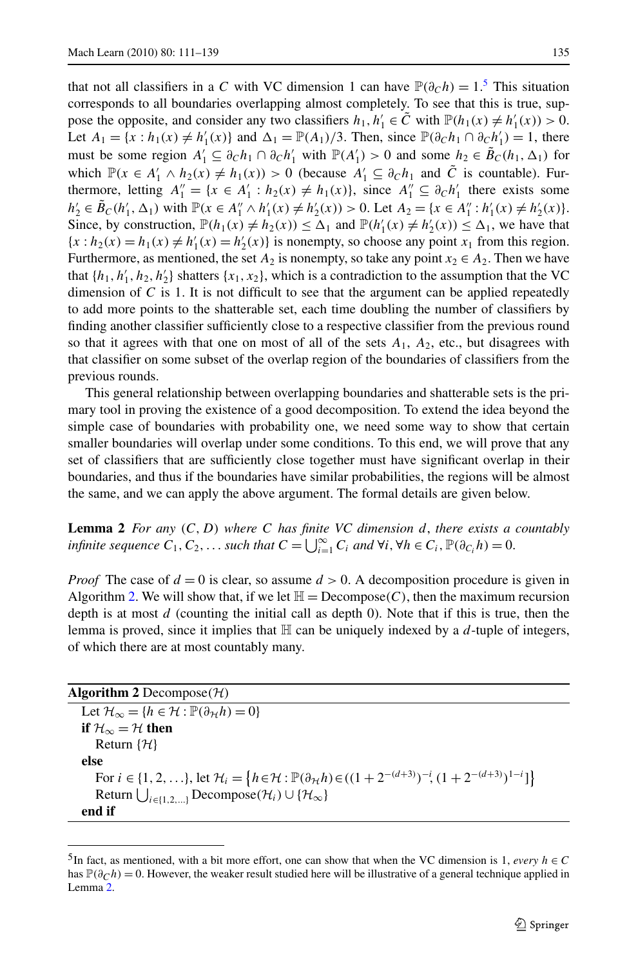that not all classifiers in a C with VC dimension 1 can have  $\mathbb{P}(\partial_C h) = 1.5$  This situation corresponds to all boundaries overlapping almost completely. To see that this is true, suppose the opposite, and consider any two classifiers  $h_1, h'_1 \in \tilde{C}$  with  $\mathbb{P}(h_1(x) \neq h'_1(x)) > 0$ . Let  $A_1 = \{x : h_1(x) \neq h'_1(x)\}$  and  $\Delta_1 = \mathbb{P}(A_1)/3$ . Then, since  $\mathbb{P}(\partial_C h_1 \cap \partial_C h'_1) = 1$ , there must be some region  $A'_1 \subseteq \partial_c h_1 \cap \partial_c h'_1$  with  $\mathbb{P}(A'_1) > 0$  and some  $h_2 \in \tilde{B}_C(h_1, \Delta_1)$  for which  $\mathbb{P}(x \in A'_1 \land h_2(x) \neq h_1(x)) > 0$  (because  $A'_1 \subseteq \partial_c h_1$  and  $\tilde{C}$  is countable). Furthermore, letting  $A''_1 = \{x \in A'_1 : h_2(x) \neq h_1(x)\}$ , since  $A''_1 \subseteq \partial_c h'_1$  there exists some  $h'_2 \in \tilde{B}_C(h'_1, \Delta_1)$  with  $\mathbb{P}(x \in A''_1 \wedge h'_1(x) \neq h'_2(x)) > 0$ . Let  $A_2 = \{x \in A''_1 : h'_1(x) \neq h'_2(x)\}.$ Since, by construction,  $\mathbb{P}(h_1(x) \neq h_2(x)) \leq \Delta_1$  and  $\mathbb{P}(h'_1(x) \neq h'_2(x)) \leq \Delta_1$ , we have that  ${x_1 : h_2(x) = h_1(x) \neq h'_1(x) = h'_2(x)}$  is nonempty, so choose any point  $x_1$  from this region. Furthermore, as mentioned, the set  $A_2$  is nonempty, so take any point  $x_2 \in A_2$ . Then we have that  $\{h_1, h'_1, h_2, h'_2\}$  shatters  $\{x_1, x_2\}$ , which is a contradiction to the assumption that the VC dimension of  $C$  is 1. It is not difficult to see that the argument can be applied repeatedly to add more points to the shatterable set, each time doubling the number of classifiers by finding another classifier sufficiently close to a respective classifier from the previous round so that it agrees with that one on most of all of the sets  $A_1$ ,  $A_2$ , etc., but disagrees with that classifier on some subset of the overlap region of the boundaries of classifiers from the previous rounds.

This general relationship between overlapping boundaries and shatterable sets is the primary tool in proving the existence of a good decomposition. To extend the idea beyond the simple case of boundaries with probability one, we need some way to show that certain smaller boundaries will overlap under some conditions. To this end, we will prove that any set of classifiers that are sufficiently close together must have significant overlap in their boundaries, and thus if the boundaries have similar probabilities, the regions will be almost the same, and we can apply the above argument. The formal details are given below.

**Lemma 2** *For any* (C, D) *where* C *has finite VC dimension* d, *there exists a countably infinite sequence*  $C_1, C_2, \ldots$  *such that*  $C = \bigcup_{i=1}^{\infty} C_i$  *and*  $\forall i, \forall h \in C_i, \mathbb{P}(\partial_{C_i} h) = 0$ .

*Proof* The case of  $d = 0$  is clear, so assume  $d > 0$ . A decomposition procedure is given in Algorithm 2. We will show that, if we let  $\mathbb{H} = \text{Decompose}(C)$ , then the maximum recursion depth is at most  $d$  (counting the initial call as depth 0). Note that if this is true, then the lemma is proved, since it implies that  $H$  can be uniquely indexed by a d-tuple of integers, of which there are at most countably many.

**Algorithm 2** Decompose( $H$ ) Let  $\mathcal{H}_{\infty} = \{h \in \mathcal{H} : \mathbb{P}(\partial_{\mathcal{H}}h) = 0\}$ **if**  $\mathcal{H}_{\infty} = \mathcal{H}$  **then** Return  $\{\mathcal{H}\}$ **else** For *i* ∈ {1, 2, ...}, let  $\mathcal{H}_i = \left\{ h \in \mathcal{H} : \mathbb{P}(\partial_{\mathcal{H}} h) \in ((1 + 2^{-(d+3)})^{-i}, (1 + 2^{-(d+3)})^{1-i} \right\}$ Return  $\bigcup_{i\in\{1,2,\ldots\}}$  Decompose $(\mathcal{H}_i) \cup \{\mathcal{H}_\infty\}$ **end if**

<sup>&</sup>lt;sup>5</sup>In fact, as mentioned, with a bit more effort, one can show that when the VC dimension is 1, *every*  $h \in C$ has  $\mathbb{P}(\partial_C h) = 0$ . However, the weaker result studied here will be illustrative of a general technique applied in Lemma 2.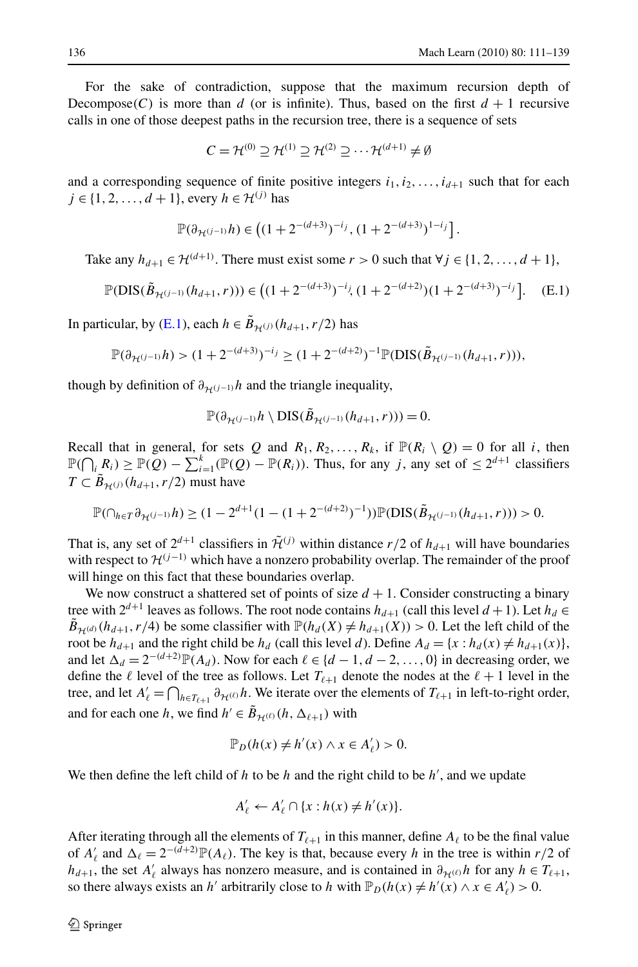For the sake of contradiction, suppose that the maximum recursion depth of Decompose(C) is more than d (or is infinite). Thus, based on the first  $d + 1$  recursive calls in one of those deepest paths in the recursion tree, there is a sequence of sets

$$
C = \mathcal{H}^{(0)} \supseteq \mathcal{H}^{(1)} \supseteq \mathcal{H}^{(2)} \supseteq \cdots \mathcal{H}^{(d+1)} \neq \emptyset
$$

and a corresponding sequence of finite positive integers  $i_1, i_2, \ldots, i_{d+1}$  such that for each  $j \in \{1, 2, ..., d + 1\}$ , every  $h \in \mathcal{H}^{(j)}$  has

$$
\mathbb{P}(\partial_{\mathcal{H}^{(j-1)}}h) \in \left( (1+2^{-(d+3)})^{-i_j}, (1+2^{-(d+3)})^{1-i_j} \right].
$$

Take any  $h_{d+1} \in \mathcal{H}^{(d+1)}$ . There must exist some  $r > 0$  such that  $\forall j \in \{1, 2, ..., d+1\}$ ,

$$
\mathbb{P}(\text{DIS}(\tilde{B}_{\mathcal{H}^{(j-1)}}(h_{d+1},r))) \in \left( (1+2^{-(d+3)})^{-i} \, ; \, (1+2^{-(d+2)}) (1+2^{-(d+3)})^{-i} \right). \tag{E.1}
$$

In particular, by (E.1), each  $h \in \tilde{B}_{\mathcal{H}(j)}(h_{d+1}, r/2)$  has

$$
\mathbb{P}(\partial_{\mathcal{H}^{(j-1)}}h) > (1+2^{-(d+3)})^{-i_j} \ge (1+2^{-(d+2)})^{-1} \mathbb{P}(\text{DIS}(\tilde{B}_{\mathcal{H}^{(j-1)}}(h_{d+1},r))),
$$

though by definition of  $\partial_{\mathcal{H}(j-1)}h$  and the triangle inequality,

$$
\mathbb{P}(\partial_{\mathcal{H}^{(j-1)}}h \setminus \text{DIS}(\tilde{B}_{\mathcal{H}^{(j-1)}}(h_{d+1},r)))=0.
$$

Recall that in general, for sets Q and  $R_1, R_2, \ldots, R_k$ , if  $\mathbb{P}(R_i \setminus Q) = 0$  for all i, then  $\mathbb{P}(\bigcap_i R_i) \geq \mathbb{P}(Q) - \sum_{i=1}^k (\mathbb{P}(Q) - \mathbb{P}(R_i))$ . Thus, for any j, any set of  $\leq 2^{d+1}$  classifiers  $T \subset \tilde{B}_{\mathcal{H}(i)}(h_{d+1}, r/2)$  must have

$$
\mathbb{P}(\bigcap_{h\in T} \partial_{\mathcal{H}^{(j-1)}}h) \ge (1-2^{d+1}(1-(1+2^{-(d+2)})^{-1})) \mathbb{P}(\text{DIS}(\tilde{B}_{\mathcal{H}^{(j-1)}}(h_{d+1},r))) > 0.
$$

That is, any set of  $2^{d+1}$  classifiers in  $\tilde{\mathcal{H}}^{(j)}$  within distance  $r/2$  of  $h_{d+1}$  will have boundaries with respect to  $\mathcal{H}^{(j-1)}$  which have a nonzero probability overlap. The remainder of the proof will hinge on this fact that these boundaries overlap.

We now construct a shattered set of points of size  $d + 1$ . Consider constructing a binary tree with  $2^{d+1}$  leaves as follows. The root node contains  $h_{d+1}$  (call this level  $d+1$ ). Let  $h_d \in \tilde{E}$  $\tilde{B}_{\gamma(d)}(h_{d+1}, r/4)$  be some classifier with  $\mathbb{P}(h_d(X) \neq h_{d+1}(X)) > 0$ . Let the left child of the root be  $h_{d+1}$  and the right child be  $h_d$  (call this level d). Define  $A_d = \{x : h_d(x) \neq h_{d+1}(x)\}\$ , and let  $\Delta_d = 2^{-(d+2)} \mathbb{P}(A_d)$ . Now for each  $\ell \in \{d-1, d-2, \ldots, 0\}$  in decreasing order, we define the  $\ell$  level of the tree as follows. Let  $T_{\ell+1}$  denote the nodes at the  $\ell+1$  level in the tree, and let  $A'_{\ell} = \bigcap_{h \in T_{\ell+1}} \partial_{\mathcal{H}^{(\ell)}} h$ . We iterate over the elements of  $T_{\ell+1}$  in left-to-right order, and for each one h, we find  $h' \in B_{\mathcal{H}^{(\ell)}}(h, \Delta_{\ell+1})$  with

$$
\mathbb{P}_D(h(x) \neq h'(x) \land x \in A'_\ell) > 0.
$$

We then define the left child of  $h$  to be  $h$  and the right child to be  $h'$ , and we update

$$
A'_{\ell} \leftarrow A'_{\ell} \cap \{x : h(x) \neq h'(x)\}.
$$

After iterating through all the elements of  $T_{\ell+1}$  in this manner, define  $A_{\ell}$  to be the final value of  $A'_\ell$  and  $\Delta_\ell = 2^{-(d+2)} \mathbb{P}(A_\ell)$ . The key is that, because every h in the tree is within  $r/2$  of  $h_{d+1}$ , the set  $A'_{\ell}$  always has nonzero measure, and is contained in  $\partial_{\mathcal{H}^{(\ell)}} h$  for any  $h \in T_{\ell+1}$ , so there always exists an h' arbitrarily close to h with  $\mathbb{P}_D(h(x) \neq h'(x) \land x \in A'_\ell) > 0$ .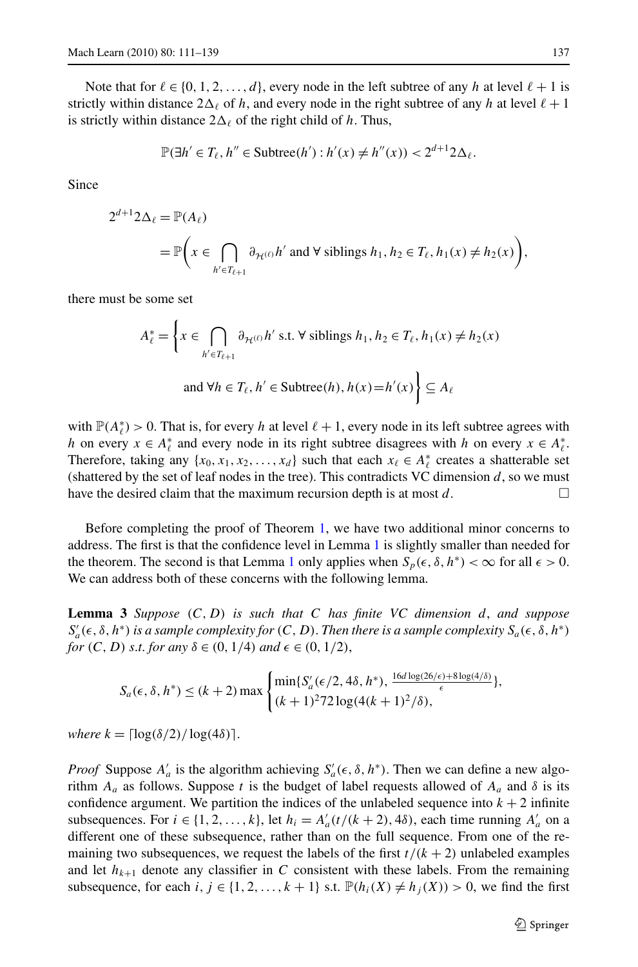Note that for  $\ell \in \{0, 1, 2, ..., d\}$ , every node in the left subtree of any h at level  $\ell + 1$  is strictly within distance  $2\Delta_{\ell}$  of h, and every node in the right subtree of any h at level  $\ell + 1$ is strictly within distance  $2\Delta_{\ell}$  of the right child of h. Thus,

$$
\mathbb{P}(\exists h' \in T_{\ell}, h'' \in \text{Subtree}(h'): h'(x) \neq h''(x)) < 2^{d+1} 2\Delta_{\ell}.
$$

Since

$$
2^{d+1}2\Delta_{\ell} = \mathbb{P}(A_{\ell})
$$
  
=  $\mathbb{P}\left(x \in \bigcap_{h' \in T_{\ell+1}} \partial_{\mathcal{H}^{(\ell)}} h' \text{ and } \forall \text{ siblings } h_1, h_2 \in T_{\ell}, h_1(x) \neq h_2(x)\right),$ 

there must be some set

$$
A_{\ell}^{*} = \left\{ x \in \bigcap_{h' \in T_{\ell+1}} \partial_{\mathcal{H}^{(\ell)}} h' \text{ s.t. } \forall \text{ siblings } h_1, h_2 \in T_{\ell}, h_1(x) \neq h_2(x) \right\}
$$
  
and  $\forall h \in T_{\ell}, h' \in \text{Subtree}(h), h(x) = h'(x) \right\} \subseteq A_{\ell}$ 

with  $\mathbb{P}(A_{\ell}^*) > 0$ . That is, for every h at level  $\ell + 1$ , every node in its left subtree agrees with *h* on every  $x \in A_{\ell}^{*}$  and every node in its right subtree disagrees with *h* on every  $x \in A_{\ell}^{*}$ . Therefore, taking any  $\{x_0, x_1, x_2, ..., x_d\}$  such that each  $x_\ell \in A_\ell^*$  creates a shatterable set (shattered by the set of leaf nodes in the tree). This contradicts VC dimension  $d$ , so we must have the desired claim that the maximum recursion depth is at most  $d$ .

Before completing the proof of Theorem 1, we have two additional minor concerns to address. The first is that the confidence level in Lemma 1 is slightly smaller than needed for the theorem. The second is that Lemma 1 only applies when  $S_p(\epsilon, \delta, h^*) < \infty$  for all  $\epsilon > 0$ . We can address both of these concerns with the following lemma.

**Lemma 3** *Suppose* (C, D) *is such that* C *has finite VC dimension* d, *and suppose*  $S'_a(\epsilon, \delta, h^*)$  *is a sample complexity for*  $(C, D)$ . *Then there is a sample complexity*  $S_a(\epsilon, \delta, h^*)$ *for*  $(C, D)$  *s.t. for any*  $\delta \in (0, 1/4)$  *and*  $\epsilon \in (0, 1/2)$ ,

$$
S_a(\epsilon, \delta, h^*) \le (k+2) \max \begin{cases} \min\{S'_a(\epsilon/2, 4\delta, h^*), \frac{16d\log(26/\epsilon) + 8\log(4/\delta)}{\epsilon}\},\\ (k+1)^2 72\log(4(k+1)^2/\delta), \end{cases}
$$

*where*  $k = \lfloor \log(\delta/2)/\log(4\delta) \rfloor$ .

*Proof* Suppose  $A'_a$  is the algorithm achieving  $S'_a(\epsilon, \delta, h^*)$ . Then we can define a new algorithm  $A_a$  as follows. Suppose t is the budget of label requests allowed of  $A_a$  and  $\delta$  is its confidence argument. We partition the indices of the unlabeled sequence into  $k + 2$  infinite subsequences. For  $i \in \{1, 2, ..., k\}$ , let  $h_i = A'_a(t/(k+2), 4\delta)$ , each time running  $A'_a$  on a different one of these subsequence, rather than on the full sequence. From one of the remaining two subsequences, we request the labels of the first  $t/(k + 2)$  unlabeled examples and let  $h_{k+1}$  denote any classifier in C consistent with these labels. From the remaining subsequence, for each i,  $j \in \{1, 2, ..., k + 1\}$  s.t.  $\mathbb{P}(h_i(X) \neq h_j(X)) > 0$ , we find the first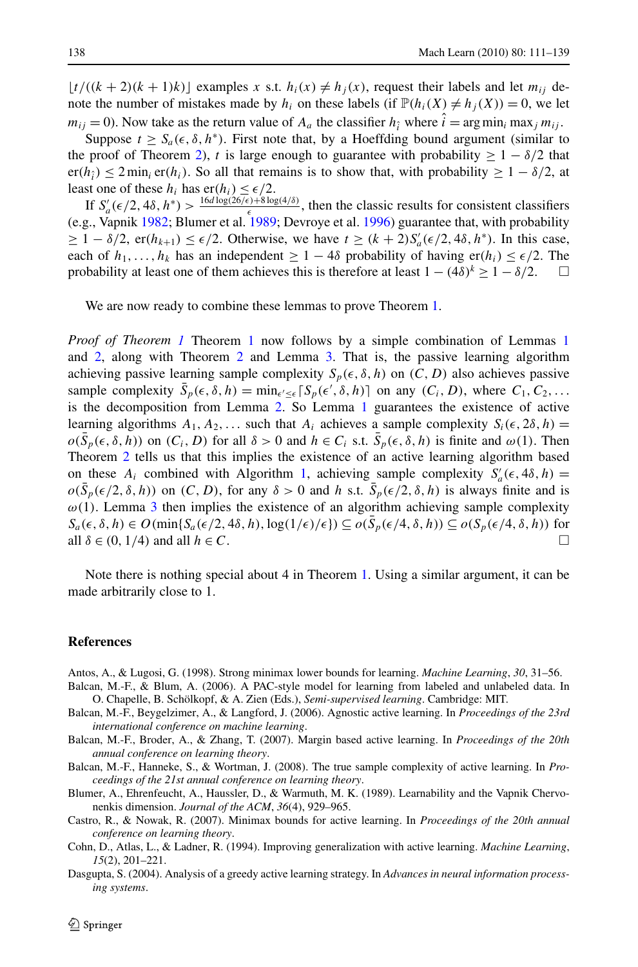$|t/((k+2)(k+1)k)|$  examples x s.t.  $h_i(x) \neq h_i(x)$ , request their labels and let  $m_{ii}$  denote the number of mistakes made by  $h_i$  on these labels (if  $\mathbb{P}(h_i(X) \neq h_i(X)) = 0$ , we let  $m_{ij} = 0$ ). Now take as the return value of  $A_a$  the classifier  $h_i$ ; where  $\hat{i} = \arg \min_i \max_j m_{ij}$ .

Suppose  $t \geq S_a(\epsilon, \delta, h^*)$ . First note that, by a Hoeffding bound argument (similar to the proof of Theorem 2), t is large enough to guarantee with probability  $> 1 - \delta/2$  that  $er(h_{\hat{i}}) \leq 2 \min_i \text{er}(h_i)$ . So all that remains is to show that, with probability  $\geq 1 - \delta/2$ , at least one of these  $h_i$  has  $er(h_i) \leq \epsilon/2$ .

If  $S'_a(\epsilon/2, 4\delta, h^*) > \frac{16d \log(26/\epsilon) + 8 \log(4/\delta)}{\epsilon}$ , then the classic results for consistent classifiers (e.g., Vapnik 1982; Blumer et al. 1989; Devroye et al. 1996) guarantee that, with probability  $\geq 1 - \delta/2$ , er( $h_{k+1}$ ) ≤  $\epsilon/2$ . Otherwise, we have  $t \geq (k+2)S'_a(\epsilon/2, 4\delta, h^*)$ . In this case, each of  $h_1, \ldots, h_k$  has an independent  $\geq 1 - 4\delta$  probability of having  $er(h_i) \leq \epsilon/2$ . The probability at least one of them achieves this is therefore at least  $1 - (4\delta)^k > 1 - \delta/2$ probability at least one of them achieves this is therefore at least  $1 - (4\delta)^k \ge 1 - \delta/2$ .

We are now ready to combine these lemmas to prove Theorem 1.

*Proof of Theorem 1* Theorem 1 now follows by a simple combination of Lemmas 1 and 2, along with Theorem 2 and Lemma 3. That is, the passive learning algorithm achieving passive learning sample complexity  $S_p(\epsilon, \delta, h)$  on  $(C, D)$  also achieves passive sample complexity  $S_p(\epsilon, \delta, h) = \min_{\epsilon' \leq \epsilon} [S_p(\epsilon', \delta, h)]$  on any  $(C_i, D)$ , where  $C_1, C_2, \ldots$ is the decomposition from Lemma 2. So Lemma 1 guarantees the existence of active learning algorithms  $A_1, A_2, \ldots$  such that  $A_i$  achieves a sample complexity  $S_i(\epsilon, 2\delta, h) =$  $o(S_p(\epsilon, \delta, h))$  on  $(C_i, D)$  for all  $\delta > 0$  and  $h \in C_i$  s.t.  $S_p(\epsilon, \delta, h)$  is finite and  $\omega(1)$ . Then Theorem 2 tells us that this implies the existence of an active learning algorithm based on these  $A_i$  combined with Algorithm 1, achieving sample complexity  $S'_a(\epsilon, 4\delta, h) =$  $o(S_p(\epsilon/2, \delta, h))$  on  $(C, D)$ , for any  $\delta > 0$  and h s.t.  $S_p(\epsilon/2, \delta, h)$  is always finite and is  $\omega(1)$ . Lemma 3 then implies the existence of an algorithm achieving sample complexity  $S_a(\epsilon, \delta, h) \in O(\min\{S_a(\epsilon/2, 4\delta, h), \log(1/\epsilon)/\epsilon\}) \subseteq o(S_p(\epsilon/4, \delta, h)) \subseteq o(S_p(\epsilon/4, \delta, h))$  for all  $\delta \in (0, 1/4)$  and all  $h \in C$ .

Note there is nothing special about 4 in Theorem 1. Using a similar argument, it can be made arbitrarily close to 1.

## **References**

Antos, A., & Lugosi, G. (1998). Strong minimax lower bounds for learning. *Machine Learning*, *30*, 31–56.

- Balcan, M.-F., & Blum, A. (2006). A PAC-style model for learning from labeled and unlabeled data. In O. Chapelle, B. Schölkopf, & A. Zien (Eds.), *Semi-supervised learning*. Cambridge: MIT.
- Balcan, M.-F., Beygelzimer, A., & Langford, J. (2006). Agnostic active learning. In *Proceedings of the 23rd international conference on machine learning*.
- Balcan, M.-F., Broder, A., & Zhang, T. (2007). Margin based active learning. In *Proceedings of the 20th annual conference on learning theory*.
- Balcan, M.-F., Hanneke, S., & Wortman, J. (2008). The true sample complexity of active learning. In *Proceedings of the 21st annual conference on learning theory*.
- Blumer, A., Ehrenfeucht, A., Haussler, D., & Warmuth, M. K. (1989). Learnability and the Vapnik Chervonenkis dimension. *Journal of the ACM*, *36*(4), 929–965.
- Castro, R., & Nowak, R. (2007). Minimax bounds for active learning. In *Proceedings of the 20th annual conference on learning theory*.
- Cohn, D., Atlas, L., & Ladner, R. (1994). Improving generalization with active learning. *Machine Learning*, *15*(2), 201–221.
- Dasgupta, S. (2004). Analysis of a greedy active learning strategy. In *Advances in neural information processing systems*.